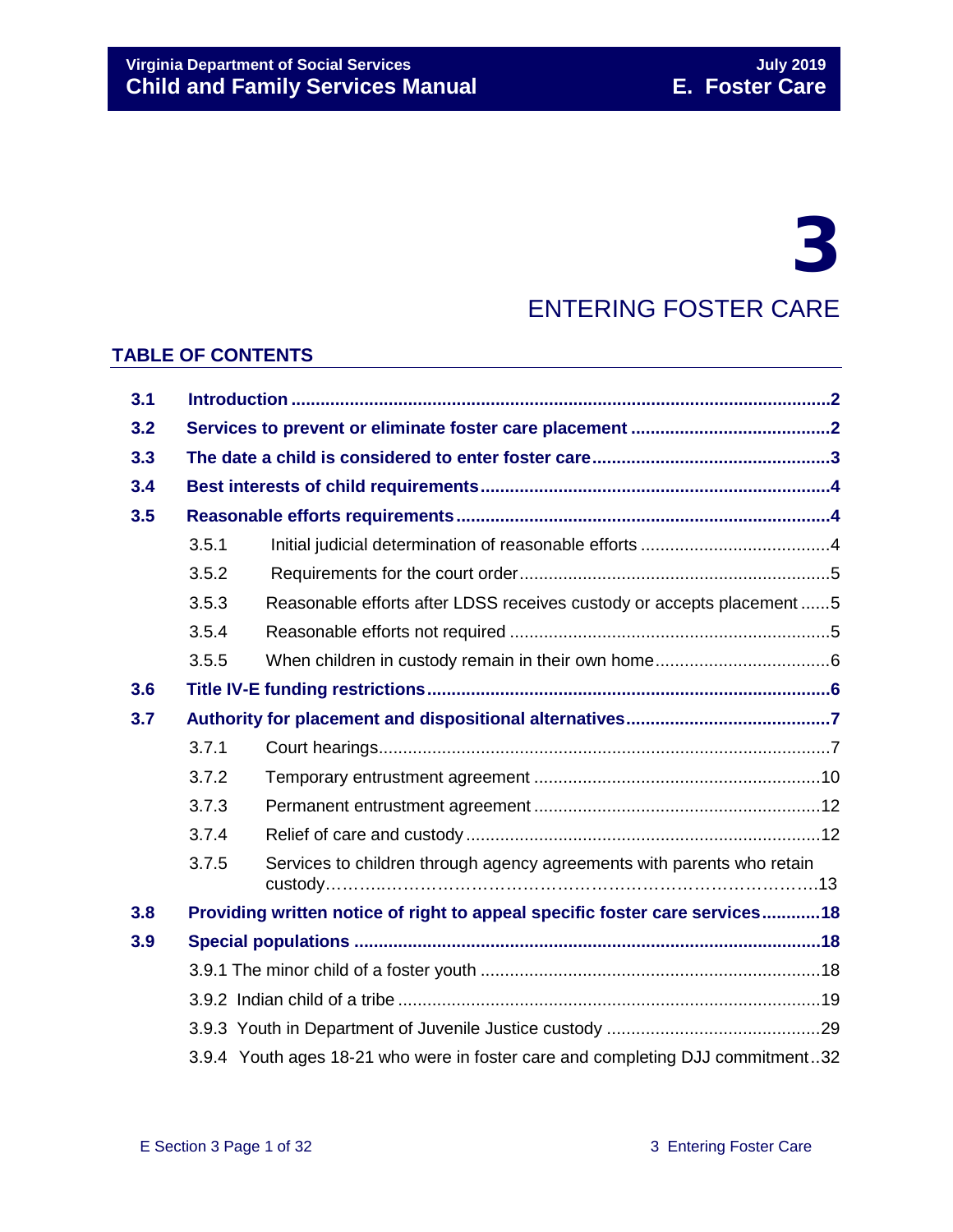# 3

# ENTERING FOSTER CARE

#### **TABLE OF CONTENTS**

| 3.1 |                                                                                |                                                                        |  |
|-----|--------------------------------------------------------------------------------|------------------------------------------------------------------------|--|
| 3.2 |                                                                                |                                                                        |  |
| 3.3 |                                                                                |                                                                        |  |
| 3.4 |                                                                                |                                                                        |  |
| 3.5 |                                                                                |                                                                        |  |
|     | 3.5.1                                                                          |                                                                        |  |
|     | 3.5.2                                                                          |                                                                        |  |
|     | 3.5.3                                                                          | Reasonable efforts after LDSS receives custody or accepts placement5   |  |
|     | 3.5.4                                                                          |                                                                        |  |
|     | 3.5.5                                                                          |                                                                        |  |
| 3.6 |                                                                                |                                                                        |  |
| 3.7 |                                                                                |                                                                        |  |
|     | 3.7.1                                                                          |                                                                        |  |
|     | 3.7.2                                                                          |                                                                        |  |
|     | 3.7.3                                                                          |                                                                        |  |
|     | 3.7.4                                                                          |                                                                        |  |
|     | 3.7.5                                                                          | Services to children through agency agreements with parents who retain |  |
| 3.8 | Providing written notice of right to appeal specific foster care services 18   |                                                                        |  |
| 3.9 |                                                                                |                                                                        |  |
|     |                                                                                |                                                                        |  |
|     |                                                                                |                                                                        |  |
|     |                                                                                |                                                                        |  |
|     | 3.9.4 Youth ages 18-21 who were in foster care and completing DJJ commitment32 |                                                                        |  |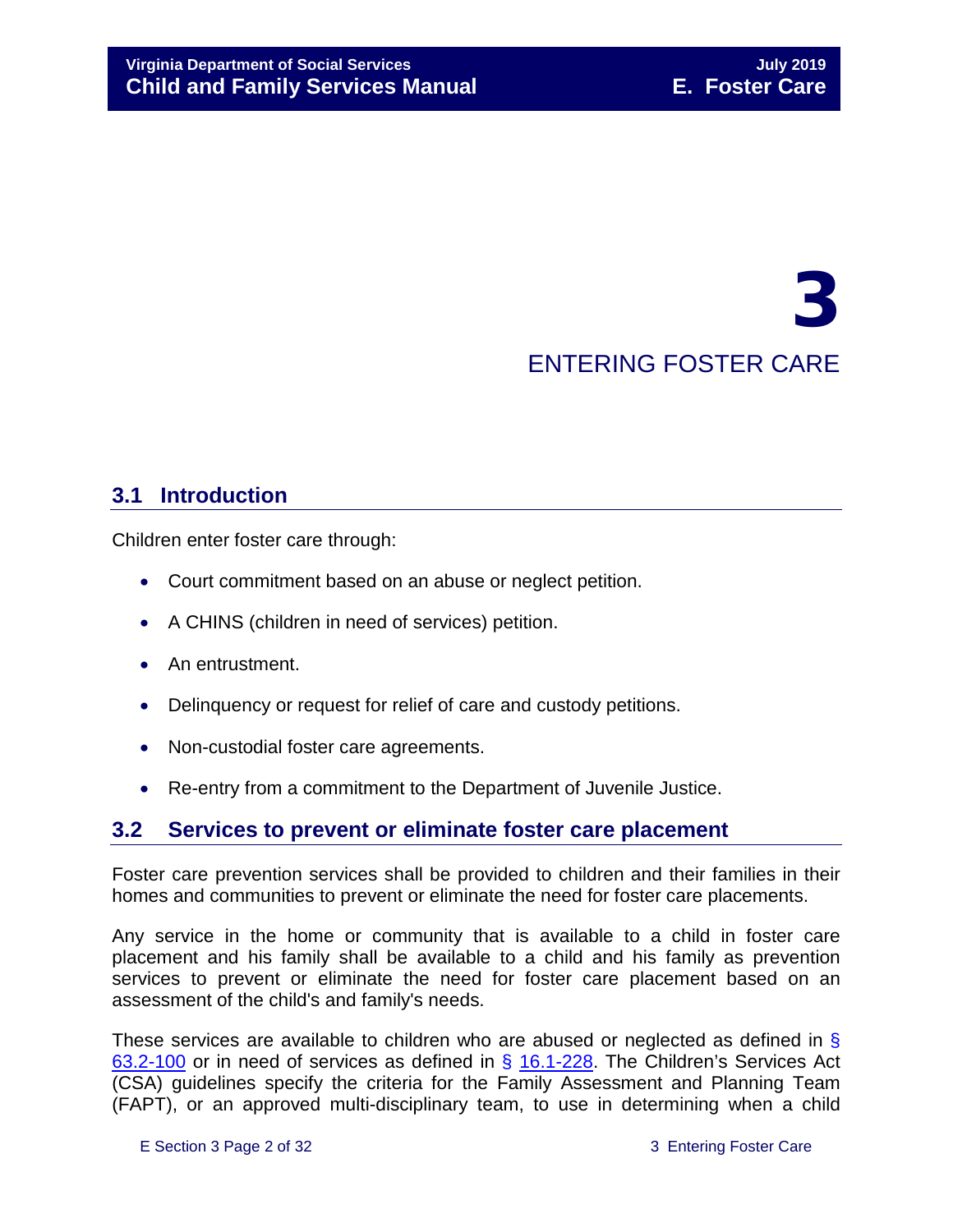# 3 ENTERING FOSTER CARE

# <span id="page-1-0"></span>**3.1 Introduction**

Children enter foster care through:

- Court commitment based on an abuse or neglect petition.
- A CHINS (children in need of services) petition.
- An entrustment.
- Delinquency or request for relief of care and custody petitions.
- Non-custodial foster care agreements.
- Re-entry from a commitment to the Department of Juvenile Justice.

## <span id="page-1-1"></span>**3.2 Services to prevent or eliminate foster care placement**

Foster care prevention services shall be provided to children and their families in their homes and communities to prevent or eliminate the need for foster care placements.

Any service in the home or community that is available to a child in foster care placement and his family shall be available to a child and his family as prevention services to prevent or eliminate the need for foster care placement based on an assessment of the child's and family's needs.

These services are available to children who are abused or neglected as defined in § [63.2-100](http://law.lis.virginia.gov/vacode/63.2-100/) or in need of services as defined in § [16.1-228.](http://law.lis.virginia.gov/vacode/16.1-228/) The Children's Services Act (CSA) guidelines specify the criteria for the Family Assessment and Planning Team (FAPT), or an approved multi-disciplinary team, to use in determining when a child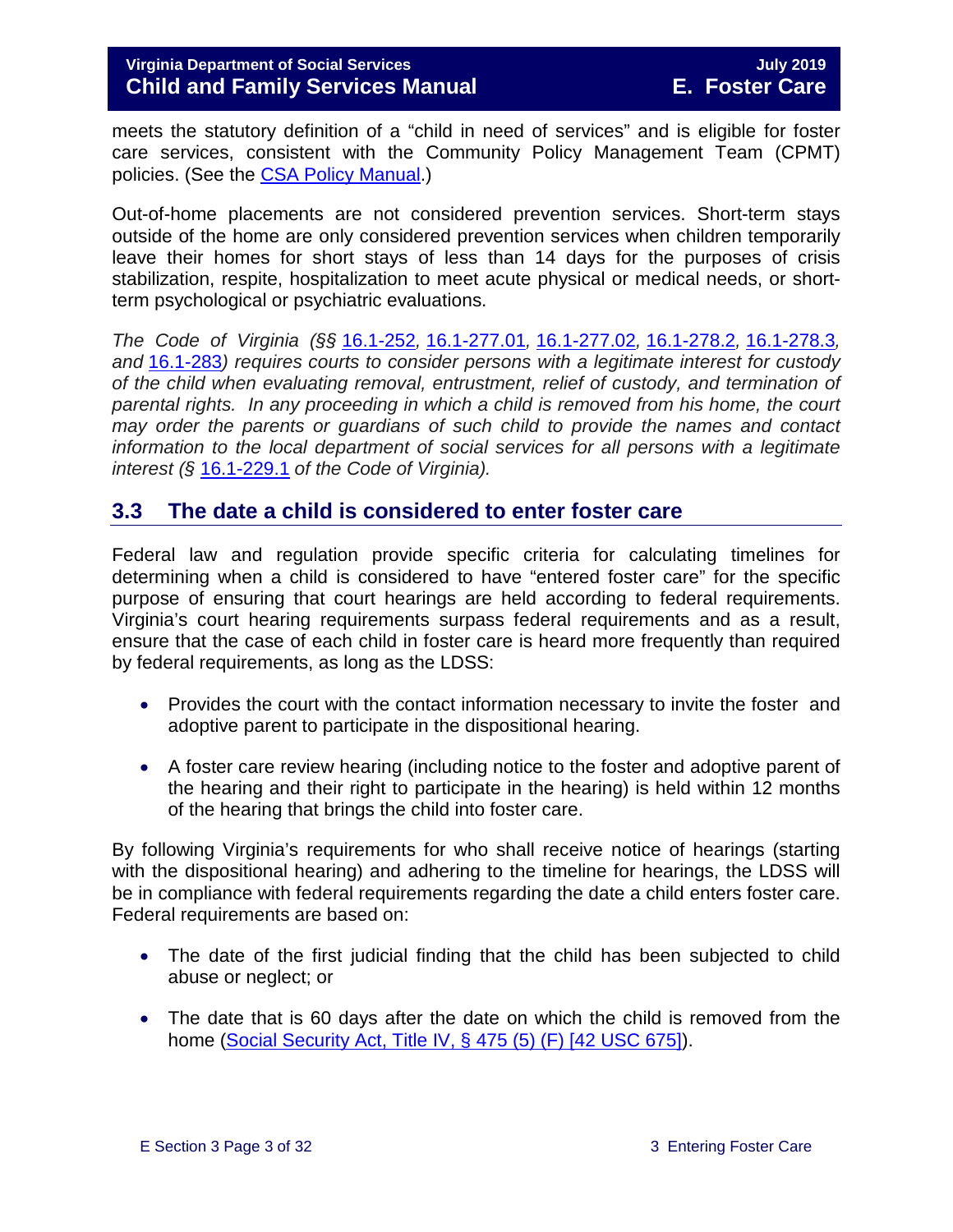meets the statutory definition of a "child in need of services" and is eligible for foster care services, consistent with the Community Policy Management Team (CPMT) policies. (See the [CSA Policy Manual.](http://www.csa.virginia.gov/CSAManual.cfm))

Out-of-home placements are not considered prevention services. Short-term stays outside of the home are only considered prevention services when children temporarily leave their homes for short stays of less than 14 days for the purposes of crisis stabilization, respite, hospitalization to meet acute physical or medical needs, or shortterm psychological or psychiatric evaluations.

*The Code of Virginia (§§* [16.1-252](https://law.lis.virginia.gov/vacode/title16.1/chapter11/section16.1-252/)*,* [16.1-277.01](https://law.lis.virginia.gov/vacode/title16.1/chapter11/section16.1-277.01/)*,* [16.1-277.02](https://law.lis.virginia.gov/vacode/title16.1/chapter11/section16.1-277.02/)*,* [16.1-278.2](https://law.lis.virginia.gov/vacode/title16.1/chapter11/section16.1-278.2/)*,* [16.1-278.3](https://law.lis.virginia.gov/vacode/title16.1/chapter11/section16.1-278.3/)*, and* [16.1-283](https://law.lis.virginia.gov/vacode/title16.1/chapter11/section16.1-283/)*) requires courts to consider persons with a legitimate interest for custody of the child when evaluating removal, entrustment, relief of custody, and termination of parental rights. In any proceeding in which a child is removed from his home, the court may order the parents or guardians of such child to provide the names and contact information to the local department of social services for all persons with a legitimate interest (§* [16.1-229.1](https://law.lis.virginia.gov/vacode/title16.1/) *of the Code of Virginia).*

#### <span id="page-2-0"></span>**3.3 The date a child is considered to enter foster care**

Federal law and regulation provide specific criteria for calculating timelines for determining when a child is considered to have "entered foster care" for the specific purpose of ensuring that court hearings are held according to federal requirements. Virginia's court hearing requirements surpass federal requirements and as a result, ensure that the case of each child in foster care is heard more frequently than required by federal requirements, as long as the LDSS:

- Provides the court with the contact information necessary to invite the foster and adoptive parent to participate in the dispositional hearing.
- A foster care review hearing (including notice to the foster and adoptive parent of the hearing and their right to participate in the hearing) is held within 12 months of the hearing that brings the child into foster care.

By following Virginia's requirements for who shall receive notice of hearings (starting with the dispositional hearing) and adhering to the timeline for hearings, the LDSS will be in compliance with federal requirements regarding the date a child enters foster care. Federal requirements are based on:

- The date of the first judicial finding that the child has been subjected to child abuse or neglect; or
- The date that is 60 days after the date on which the child is removed from the home [\(Social Security Act, Title IV, § 475 \(5\) \(F\) \[42 USC 675\]\)](http://www.ssa.gov/OP_Home/ssact/title04/0475.htm).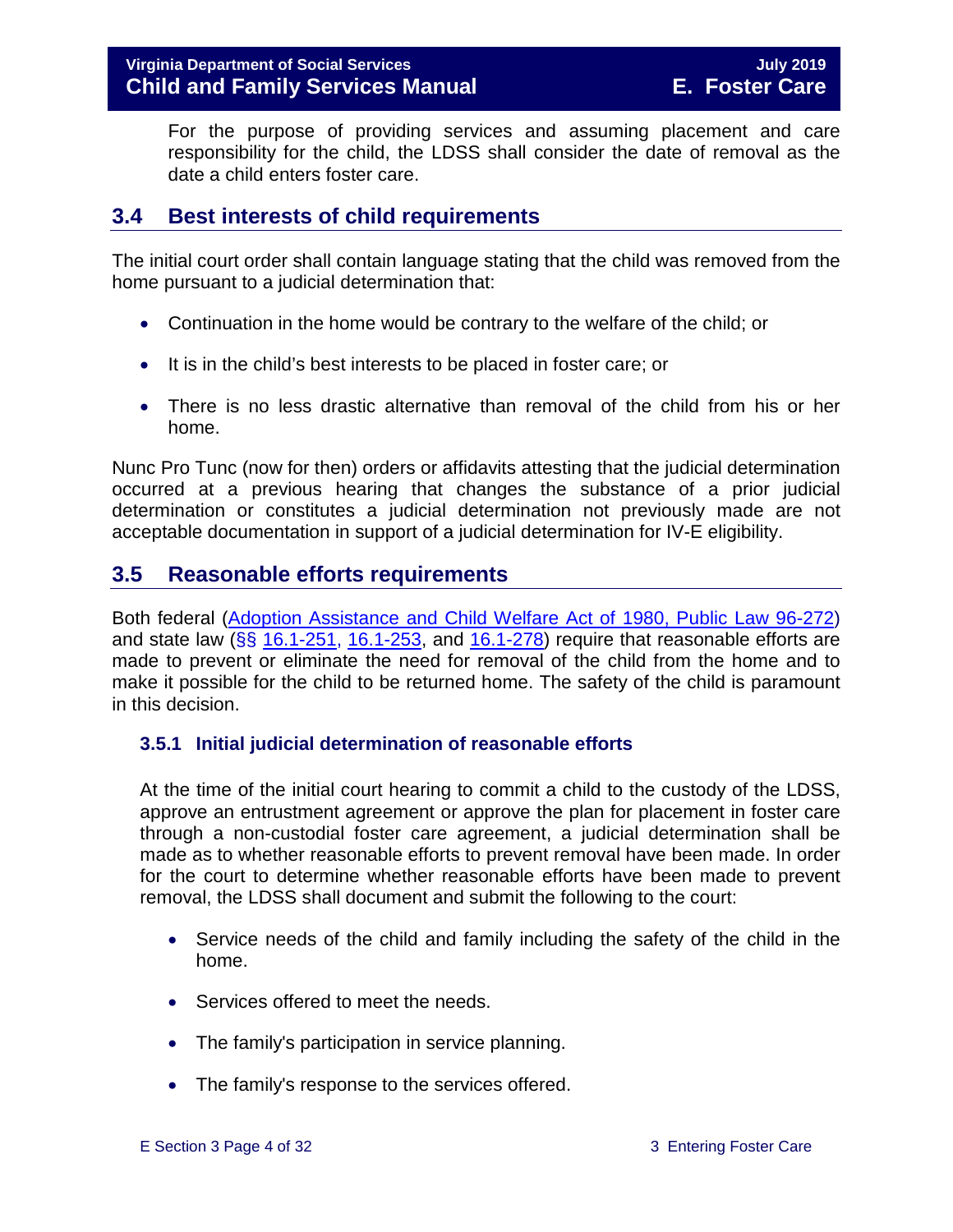For the purpose of providing services and assuming placement and care responsibility for the child, the LDSS shall consider the date of removal as the date a child enters foster care.

# <span id="page-3-0"></span>**3.4 Best interests of child requirements**

The initial court order shall contain language stating that the child was removed from the home pursuant to a judicial determination that:

- Continuation in the home would be contrary to the welfare of the child; or
- It is in the child's best interests to be placed in foster care; or
- There is no less drastic alternative than removal of the child from his or her home.

Nunc Pro Tunc (now for then) orders or affidavits attesting that the judicial determination occurred at a previous hearing that changes the substance of a prior judicial determination or constitutes a judicial determination not previously made are not acceptable documentation in support of a judicial determination for IV-E eligibility.

# <span id="page-3-1"></span>**3.5 Reasonable efforts requirements**

Both federal [\(Adoption Assistance and Child Welfare Act of 1980, Public Law 96-272\)](http://www.ssa.gov/OP_Home/comp2/F096-272.html) and state law ( $\S$ § [16.1-251,](http://law.lis.virginia.gov/vacode/16.1-251/) [16.1-253,](http://law.lis.virginia.gov/vacode/title16.1/chapter11/section16.1-253/) and [16.1-278\)](http://law.lis.virginia.gov/vacode/16.1-278/) require that reasonable efforts are made to prevent or eliminate the need for removal of the child from the home and to make it possible for the child to be returned home. The safety of the child is paramount in this decision.

#### <span id="page-3-2"></span>**3.5.1 Initial judicial determination of reasonable efforts**

At the time of the initial court hearing to commit a child to the custody of the LDSS, approve an entrustment agreement or approve the plan for placement in foster care through a non-custodial foster care agreement, a judicial determination shall be made as to whether reasonable efforts to prevent removal have been made. In order for the court to determine whether reasonable efforts have been made to prevent removal, the LDSS shall document and submit the following to the court:

- Service needs of the child and family including the safety of the child in the home.
- Services offered to meet the needs.
- The family's participation in service planning.
- The family's response to the services offered.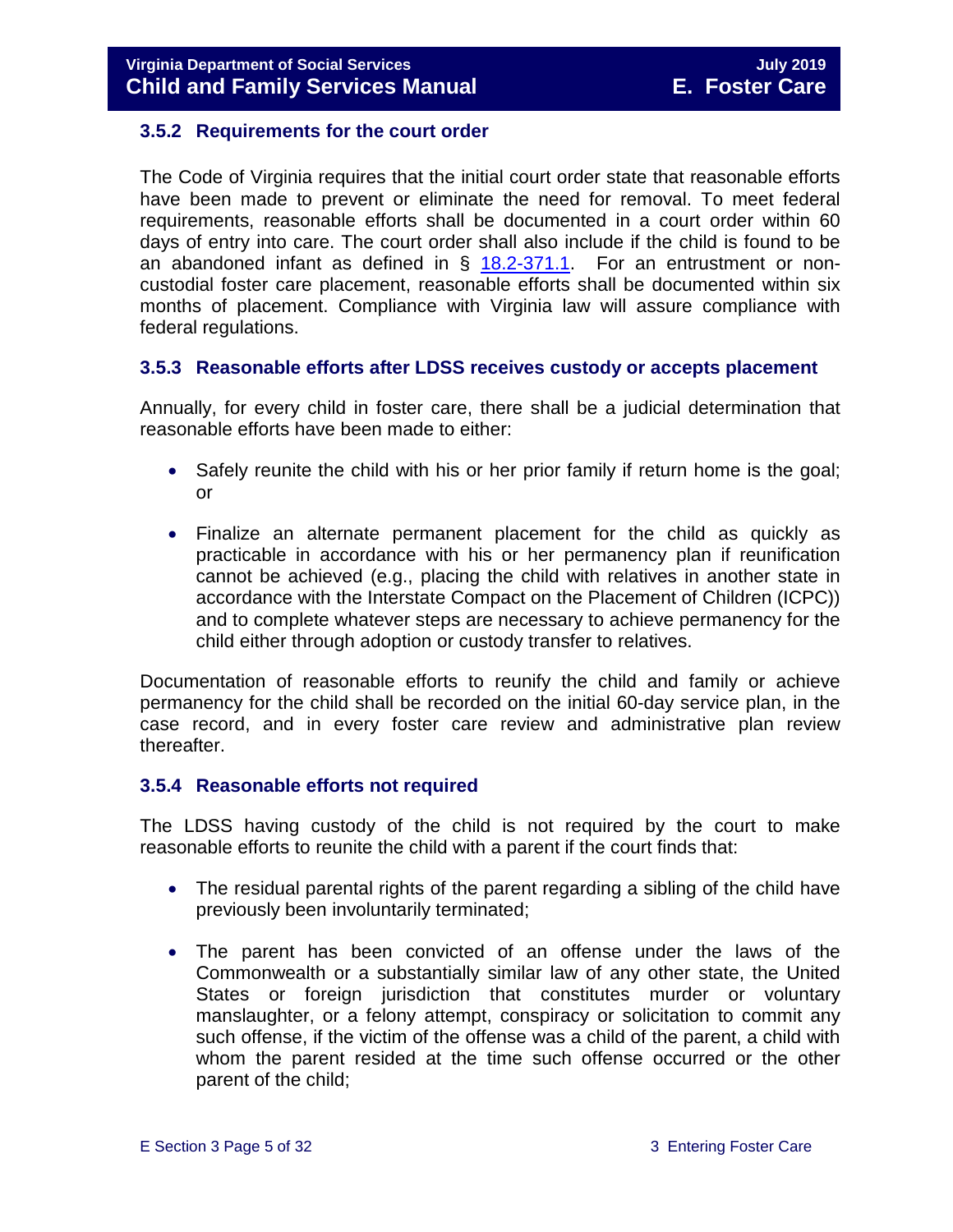#### <span id="page-4-0"></span>**3.5.2 Requirements for the court order**

The Code of Virginia requires that the initial court order state that reasonable efforts have been made to prevent or eliminate the need for removal. To meet federal requirements, reasonable efforts shall be documented in a court order within 60 days of entry into care. The court order shall also include if the child is found to be an abandoned infant as defined in  $\S$  [18.2-371.1.](http://law.lis.virginia.gov/vacode/18.2-371.1/) For an entrustment or noncustodial foster care placement, reasonable efforts shall be documented within six months of placement. Compliance with Virginia law will assure compliance with federal regulations.

#### <span id="page-4-1"></span>**3.5.3 Reasonable efforts after LDSS receives custody or accepts placement**

Annually, for every child in foster care, there shall be a judicial determination that reasonable efforts have been made to either:

- Safely reunite the child with his or her prior family if return home is the goal; or
- Finalize an alternate permanent placement for the child as quickly as practicable in accordance with his or her permanency plan if reunification cannot be achieved (e.g., placing the child with relatives in another state in accordance with the Interstate Compact on the Placement of Children (ICPC)) and to complete whatever steps are necessary to achieve permanency for the child either through adoption or custody transfer to relatives.

Documentation of reasonable efforts to reunify the child and family or achieve permanency for the child shall be recorded on the initial 60-day service plan, in the case record, and in every foster care review and administrative plan review thereafter.

#### <span id="page-4-2"></span>**3.5.4 Reasonable efforts not required**

The LDSS having custody of the child is not required by the court to make reasonable efforts to reunite the child with a parent if the court finds that:

- The residual parental rights of the parent regarding a sibling of the child have previously been involuntarily terminated;
- The parent has been convicted of an offense under the laws of the Commonwealth or a substantially similar law of any other state, the United States or foreign jurisdiction that constitutes murder or voluntary manslaughter, or a felony attempt, conspiracy or solicitation to commit any such offense, if the victim of the offense was a child of the parent, a child with whom the parent resided at the time such offense occurred or the other parent of the child;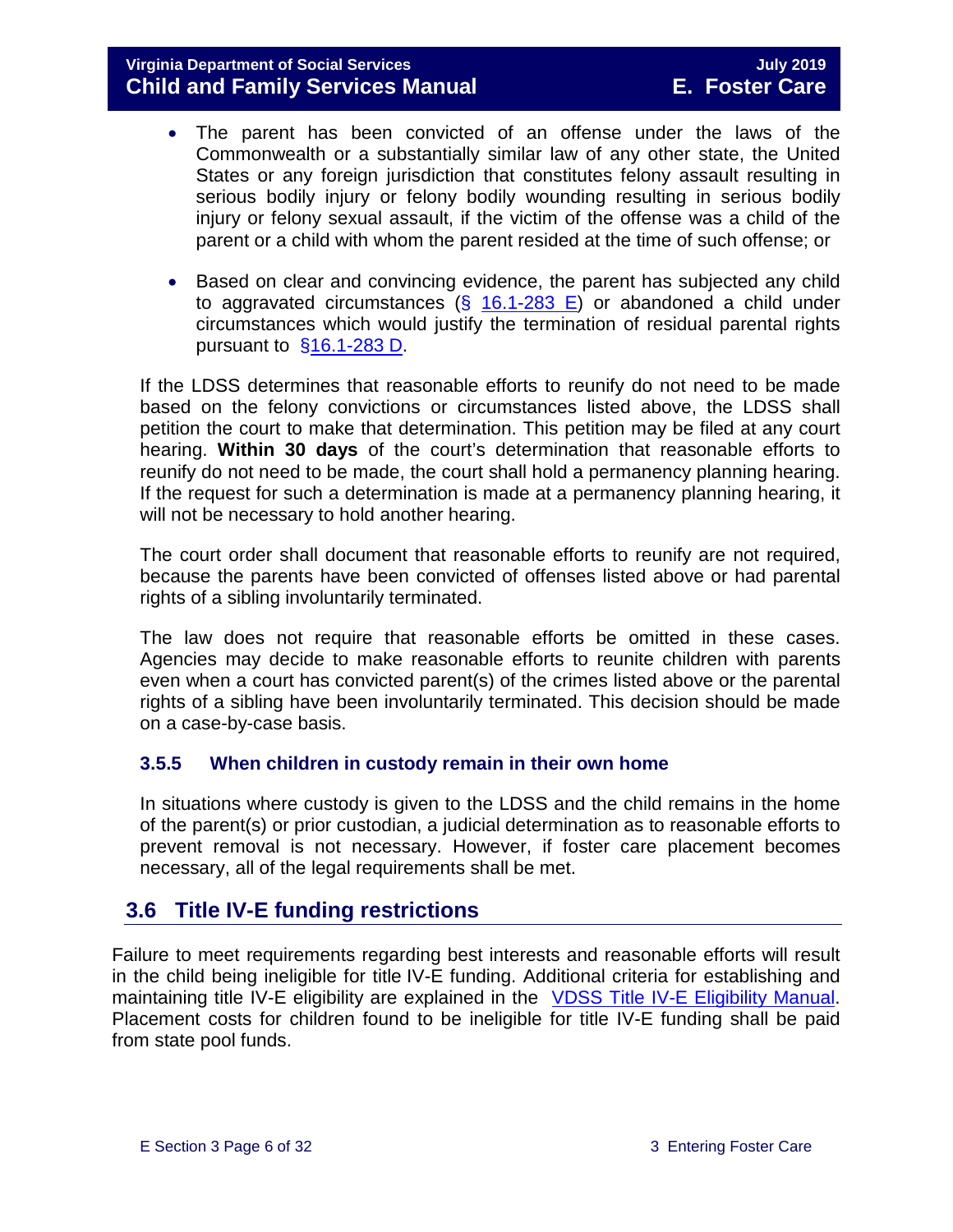#### **Virginia Department of Social Services July 2019 Child and Family Services Manual**

- The parent has been convicted of an offense under the laws of the Commonwealth or a substantially similar law of any other state, the United States or any foreign jurisdiction that constitutes felony assault resulting in serious bodily injury or felony bodily wounding resulting in serious bodily injury or felony sexual assault, if the victim of the offense was a child of the parent or a child with whom the parent resided at the time of such offense; or
- Based on clear and convincing evidence, the parent has subjected any child to aggravated circumstances ( $\S$  [16.1-283 E\)](http://law.lis.virginia.gov/vacode/16.1-283/) or abandoned a child under circumstances which would justify the termination of residual parental rights pursuant to [§16.1-283 D.](http://law.lis.virginia.gov/vacode/16.1-283/)

If the LDSS determines that reasonable efforts to reunify do not need to be made based on the felony convictions or circumstances listed above, the LDSS shall petition the court to make that determination. This petition may be filed at any court hearing. **Within 30 days** of the court's determination that reasonable efforts to reunify do not need to be made, the court shall hold a permanency planning hearing. If the request for such a determination is made at a permanency planning hearing, it will not be necessary to hold another hearing.

The court order shall document that reasonable efforts to reunify are not required, because the parents have been convicted of offenses listed above or had parental rights of a sibling involuntarily terminated.

The law does not require that reasonable efforts be omitted in these cases. Agencies may decide to make reasonable efforts to reunite children with parents even when a court has convicted parent(s) of the crimes listed above or the parental rights of a sibling have been involuntarily terminated. This decision should be made on a case-by-case basis.

#### <span id="page-5-0"></span>**3.5.5 When children in custody remain in their own home**

In situations where custody is given to the LDSS and the child remains in the home of the parent(s) or prior custodian, a judicial determination as to reasonable efforts to prevent removal is not necessary. However, if foster care placement becomes necessary, all of the legal requirements shall be met.

## <span id="page-5-1"></span>**3.6 Title IV-E funding restrictions**

Failure to meet requirements regarding best interests and reasonable efforts will result in the child being ineligible for title IV-E funding. Additional criteria for establishing and maintaining title IV-E eligibility are explained in the [VDSS Title IV-E Eligibility Manual.](http://www.dss.virginia.gov/files/division/dfs/iv_e/manuals/title_IV-E_Foster_Care_Manual_July_2016.pdf) Placement costs for children found to be ineligible for title IV-E funding shall be paid from state pool funds.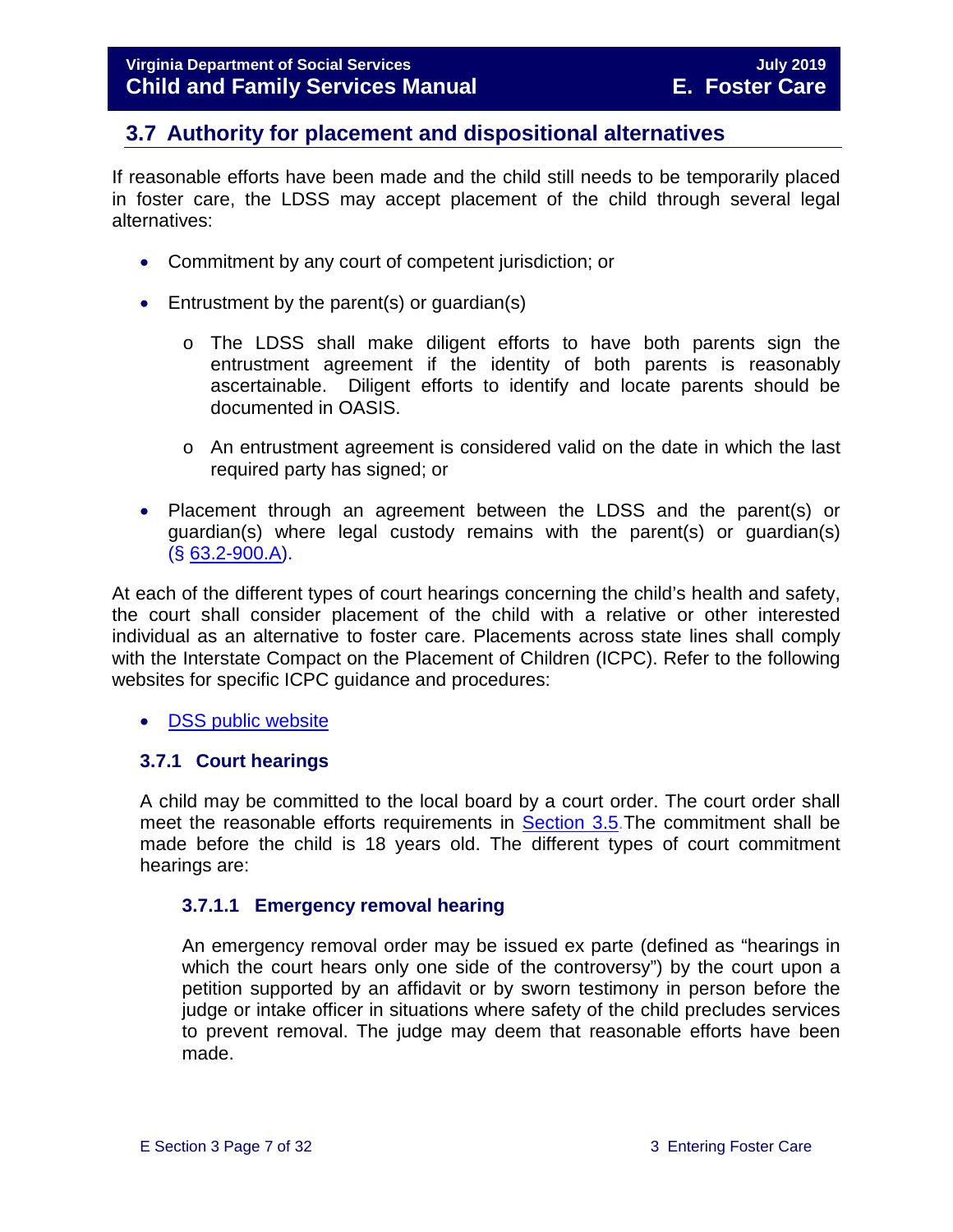# <span id="page-6-0"></span>**3.7 Authority for placement and dispositional alternatives**

If reasonable efforts have been made and the child still needs to be temporarily placed in foster care, the LDSS may accept placement of the child through several legal alternatives:

- Commitment by any court of competent jurisdiction; or
- Entrustment by the parent(s) or quardian(s)
	- o The LDSS shall make diligent efforts to have both parents sign the entrustment agreement if the identity of both parents is reasonably ascertainable. Diligent efforts to identify and locate parents should be documented in OASIS.
	- o An entrustment agreement is considered valid on the date in which the last required party has signed; or
- Placement through an agreement between the LDSS and the parent(s) or guardian(s) where legal custody remains with the parent(s) or guardian(s) (§ [63.2-900.A\)](http://law.lis.virginia.gov/vacode/63.2-900/).

At each of the different types of court hearings concerning the child's health and safety, the court shall consider placement of the child with a relative or other interested individual as an alternative to foster care. Placements across state lines shall comply with the Interstate Compact on the Placement of Children (ICPC). Refer to the following websites for specific ICPC guidance and procedures:

• [DSS public website](http://www.dss.virginia.gov/family/icpc/index.cgi)

#### <span id="page-6-1"></span>**3.7.1 Court hearings**

A child may be committed to the local board by a court order. The court order shall meet the reasonable efforts requirements in [Section 3.5.](#page-3-1)The commitment shall be made before the child is 18 years old. The different types of court commitment hearings are:

#### **3.7.1.1 Emergency removal hearing**

An emergency removal order may be issued ex parte (defined as "hearings in which the court hears only one side of the controversy") by the court upon a petition supported by an affidavit or by sworn testimony in person before the judge or intake officer in situations where safety of the child precludes services to prevent removal. The judge may deem that reasonable efforts have been made.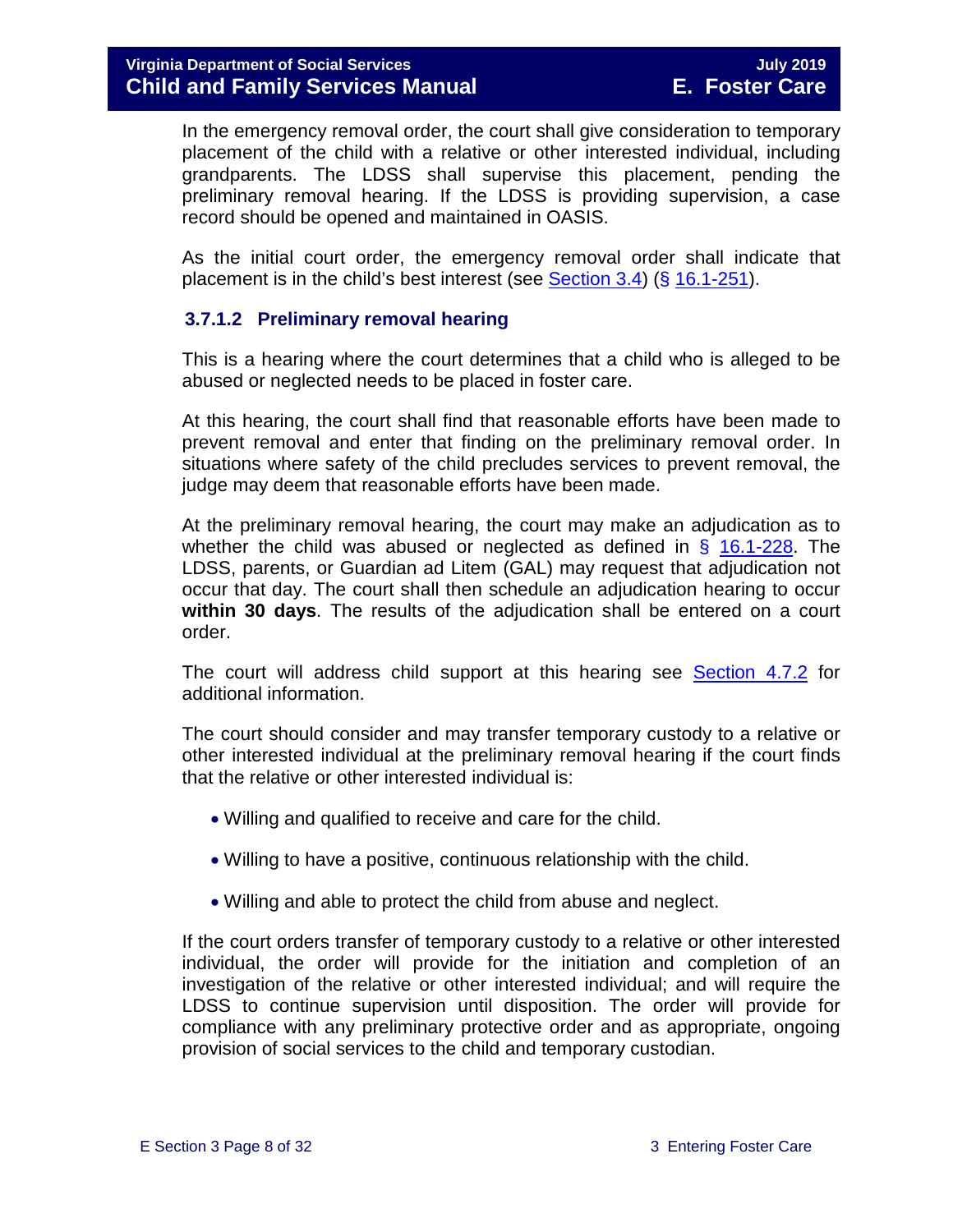In the emergency removal order, the court shall give consideration to temporary placement of the child with a relative or other interested individual, including grandparents. The LDSS shall supervise this placement, pending the preliminary removal hearing. If the LDSS is providing supervision, a case record should be opened and maintained in OASIS.

As the initial court order, the emergency removal order shall indicate that placement is in the child's best interest (see [Section 3.4\)](#page-3-0) (§ [16.1-251\)](http://law.lis.virginia.gov/vacode/16.1-251/).

#### **3.7.1.2 Preliminary removal hearing**

This is a hearing where the court determines that a child who is alleged to be abused or neglected needs to be placed in foster care.

At this hearing, the court shall find that reasonable efforts have been made to prevent removal and enter that finding on the preliminary removal order. In situations where safety of the child precludes services to prevent removal, the judge may deem that reasonable efforts have been made.

At the preliminary removal hearing, the court may make an adjudication as to whether the child was abused or neglected as defined in  $\S$  [16.1-228.](http://law.lis.virginia.gov/vacode/16.1-228/) The LDSS, parents, or Guardian ad Litem (GAL) may request that adjudication not occur that day. The court shall then schedule an adjudication hearing to occur **within 30 days**. The results of the adjudication shall be entered on a court order.

The court will address child support at this hearing see [Section](https://fusion.dss.virginia.gov/Portals/%5bdfs%5d/Files/DFS%20Manuals/Foster%20Care%20Manuals/Foster%20Care%20Manual%2007-2019/section_4_opening_and_maintaining_case.pdf#page=13) 4.7.2 for additional information.

The court should consider and may transfer temporary custody to a relative or other interested individual at the preliminary removal hearing if the court finds that the relative or other interested individual is:

- Willing and qualified to receive and care for the child.
- Willing to have a positive, continuous relationship with the child.
- Willing and able to protect the child from abuse and neglect.

If the court orders transfer of temporary custody to a relative or other interested individual, the order will provide for the initiation and completion of an investigation of the relative or other interested individual; and will require the LDSS to continue supervision until disposition. The order will provide for compliance with any preliminary protective order and as appropriate, ongoing provision of social services to the child and temporary custodian.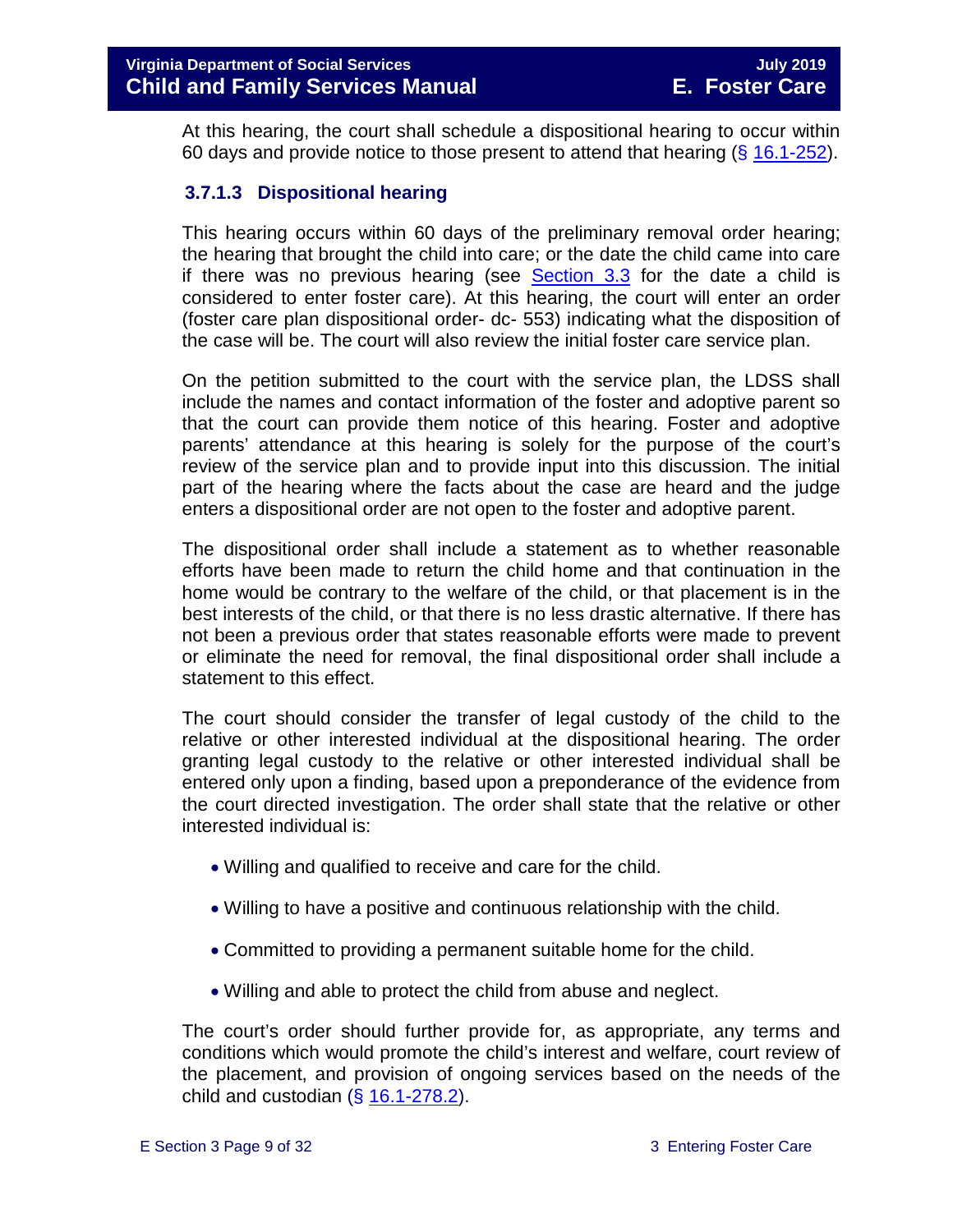At this hearing, the court shall schedule a dispositional hearing to occur within 60 days and provide notice to those present to attend that hearing  $(\S 16.1-252)$  $(\S 16.1-252)$ .

#### **3.7.1.3 Dispositional hearing**

This hearing occurs within 60 days of the preliminary removal order hearing; the hearing that brought the child into care; or the date the child came into care if there was no previous hearing (see [Section 3.3](#page-2-0) for the date a child is considered to enter foster care). At this hearing, the court will enter an order (foster care plan dispositional order- dc- 553) indicating what the disposition of the case will be. The court will also review the initial foster care service plan.

On the petition submitted to the court with the service plan, the LDSS shall include the names and contact information of the foster and adoptive parent so that the court can provide them notice of this hearing. Foster and adoptive parents' attendance at this hearing is solely for the purpose of the court's review of the service plan and to provide input into this discussion. The initial part of the hearing where the facts about the case are heard and the judge enters a dispositional order are not open to the foster and adoptive parent.

The dispositional order shall include a statement as to whether reasonable efforts have been made to return the child home and that continuation in the home would be contrary to the welfare of the child, or that placement is in the best interests of the child, or that there is no less drastic alternative. If there has not been a previous order that states reasonable efforts were made to prevent or eliminate the need for removal, the final dispositional order shall include a statement to this effect.

The court should consider the transfer of legal custody of the child to the relative or other interested individual at the dispositional hearing. The order granting legal custody to the relative or other interested individual shall be entered only upon a finding, based upon a preponderance of the evidence from the court directed investigation. The order shall state that the relative or other interested individual is:

- Willing and qualified to receive and care for the child.
- Willing to have a positive and continuous relationship with the child.
- Committed to providing a permanent suitable home for the child.
- Willing and able to protect the child from abuse and neglect.

The court's order should further provide for, as appropriate, any terms and conditions which would promote the child's interest and welfare, court review of the placement, and provision of ongoing services based on the needs of the child and custodian  $(\S 16.1 - 278.2)$ .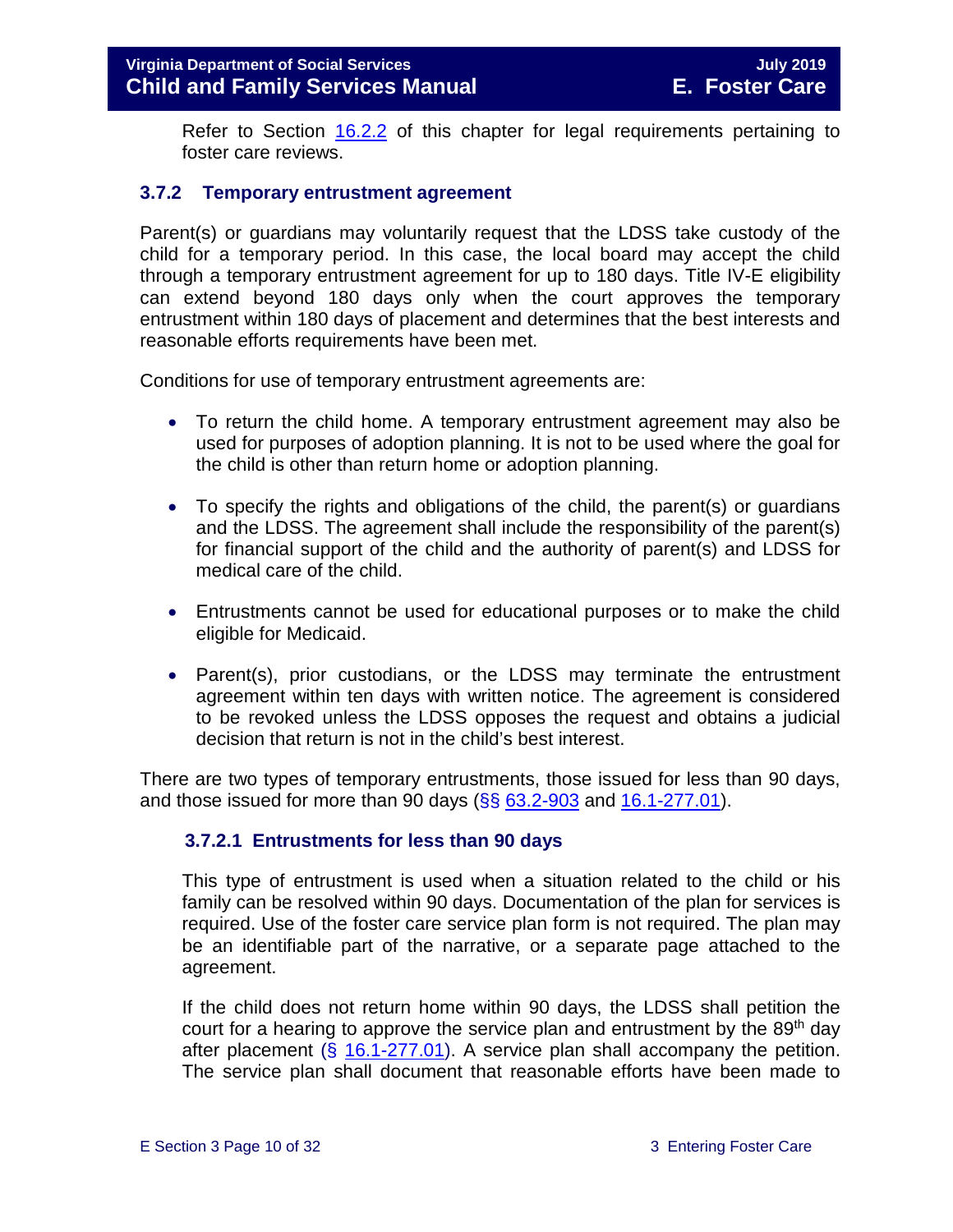Refer to Section [16.2.2](https://fusion.dss.virginia.gov/Portals/%5Bdfs%5D/Files/DFS%20Manuals/Foster%20Care%20Manuals/Foster%20Care%20Manual%2007-2019/section_16_judicial_hearings_and_mandated_foster_care_reviews.pdf#page=4) of this chapter for legal requirements pertaining to foster care reviews.

#### <span id="page-9-0"></span>**3.7.2 Temporary entrustment agreement**

Parent(s) or guardians may voluntarily request that the LDSS take custody of the child for a temporary period. In this case, the local board may accept the child through a temporary entrustment agreement for up to 180 days. Title IV-E eligibility can extend beyond 180 days only when the court approves the temporary entrustment within 180 days of placement and determines that the best interests and reasonable efforts requirements have been met.

Conditions for use of temporary entrustment agreements are:

- To return the child home. A temporary entrustment agreement may also be used for purposes of adoption planning. It is not to be used where the goal for the child is other than return home or adoption planning.
- To specify the rights and obligations of the child, the parent(s) or guardians and the LDSS. The agreement shall include the responsibility of the parent(s) for financial support of the child and the authority of parent(s) and LDSS for medical care of the child.
- Entrustments cannot be used for educational purposes or to make the child eligible for Medicaid.
- Parent(s), prior custodians, or the LDSS may terminate the entrustment agreement within ten days with written notice. The agreement is considered to be revoked unless the LDSS opposes the request and obtains a judicial decision that return is not in the child's best interest.

There are two types of temporary entrustments, those issued for less than 90 days, and those issued for more than 90 days  $(\frac{65}{63.2} - \frac{903}{3})$  and  $\frac{16.1 - 277.01}{3}$ .

#### **3.7.2.1 Entrustments for less than 90 days**

This type of entrustment is used when a situation related to the child or his family can be resolved within 90 days. Documentation of the plan for services is required. Use of the foster care service plan form is not required. The plan may be an identifiable part of the narrative, or a separate page attached to the agreement.

If the child does not return home within 90 days, the LDSS shall petition the court for a hearing to approve the service plan and entrustment by the 89<sup>th</sup> day after placement (§ [16.1-277.01\)](http://law.lis.virginia.gov/vacode/16.1-277.01/). A service plan shall accompany the petition. The service plan shall document that reasonable efforts have been made to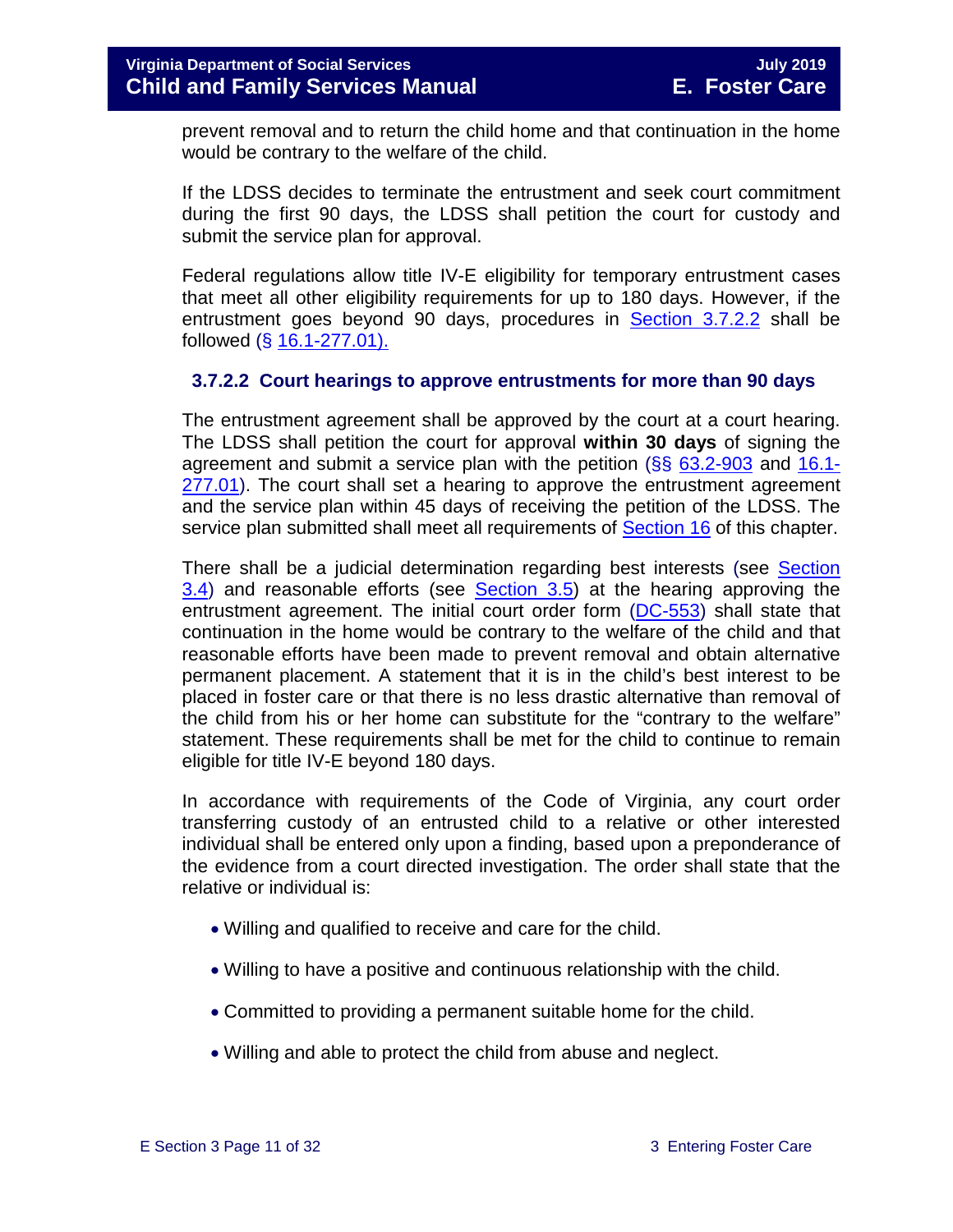prevent removal and to return the child home and that continuation in the home would be contrary to the welfare of the child.

If the LDSS decides to terminate the entrustment and seek court commitment during the first 90 days, the LDSS shall petition the court for custody and submit the service plan for approval.

Federal regulations allow title IV-E eligibility for temporary entrustment cases that meet all other eligibility requirements for up to 180 days. However, if the entrustment goes beyond 90 days, procedures in [Section 3.7.2.2](#page-10-0) shall be followed (§ [16.1-277.01\).](http://law.lis.virginia.gov/vacode/16.1-277.01/)

#### <span id="page-10-0"></span>**3.7.2.2 Court hearings to approve entrustments for more than 90 days**

The entrustment agreement shall be approved by the court at a court hearing. The LDSS shall petition the court for approval **within 30 days** of signing the agreement and submit a service plan with the petition  $(\S\S\ 63.2-903$  $(\S\S\ 63.2-903$  and [16.1-](http://law.lis.virginia.gov/vacode/16.1-277.01/) [277.01\)](http://law.lis.virginia.gov/vacode/16.1-277.01/). The court shall set a hearing to approve the entrustment agreement and the service plan within 45 days of receiving the petition of the LDSS. The service plan submitted shall meet all requirements of [Section 16](https://fusion.dss.virginia.gov/Portals/%5Bdfs%5D/Files/DFS%20Manuals/Foster%20Care%20Manuals/Foster%20Care%20Manual%2007-2019/section_16_judicial_hearings_and_mandated_foster_care_reviews.pdf) of this chapter.

There shall be a judicial determination regarding best interests (see [Section](#page-3-0)  [3.4\)](#page-3-0) and reasonable efforts (see [Section 3.5\)](#page-3-1) at the hearing approving the entrustment agreement. The initial court order form [\(DC-553\)](http://spark.dss.virginia.gov/divisions/dfs/forms.cgi) shall state that continuation in the home would be contrary to the welfare of the child and that reasonable efforts have been made to prevent removal and obtain alternative permanent placement. A statement that it is in the child's best interest to be placed in foster care or that there is no less drastic alternative than removal of the child from his or her home can substitute for the "contrary to the welfare" statement. These requirements shall be met for the child to continue to remain eligible for title IV-E beyond 180 days.

In accordance with requirements of the Code of Virginia, any court order transferring custody of an entrusted child to a relative or other interested individual shall be entered only upon a finding, based upon a preponderance of the evidence from a court directed investigation. The order shall state that the relative or individual is:

- Willing and qualified to receive and care for the child.
- Willing to have a positive and continuous relationship with the child.
- Committed to providing a permanent suitable home for the child.
- Willing and able to protect the child from abuse and neglect.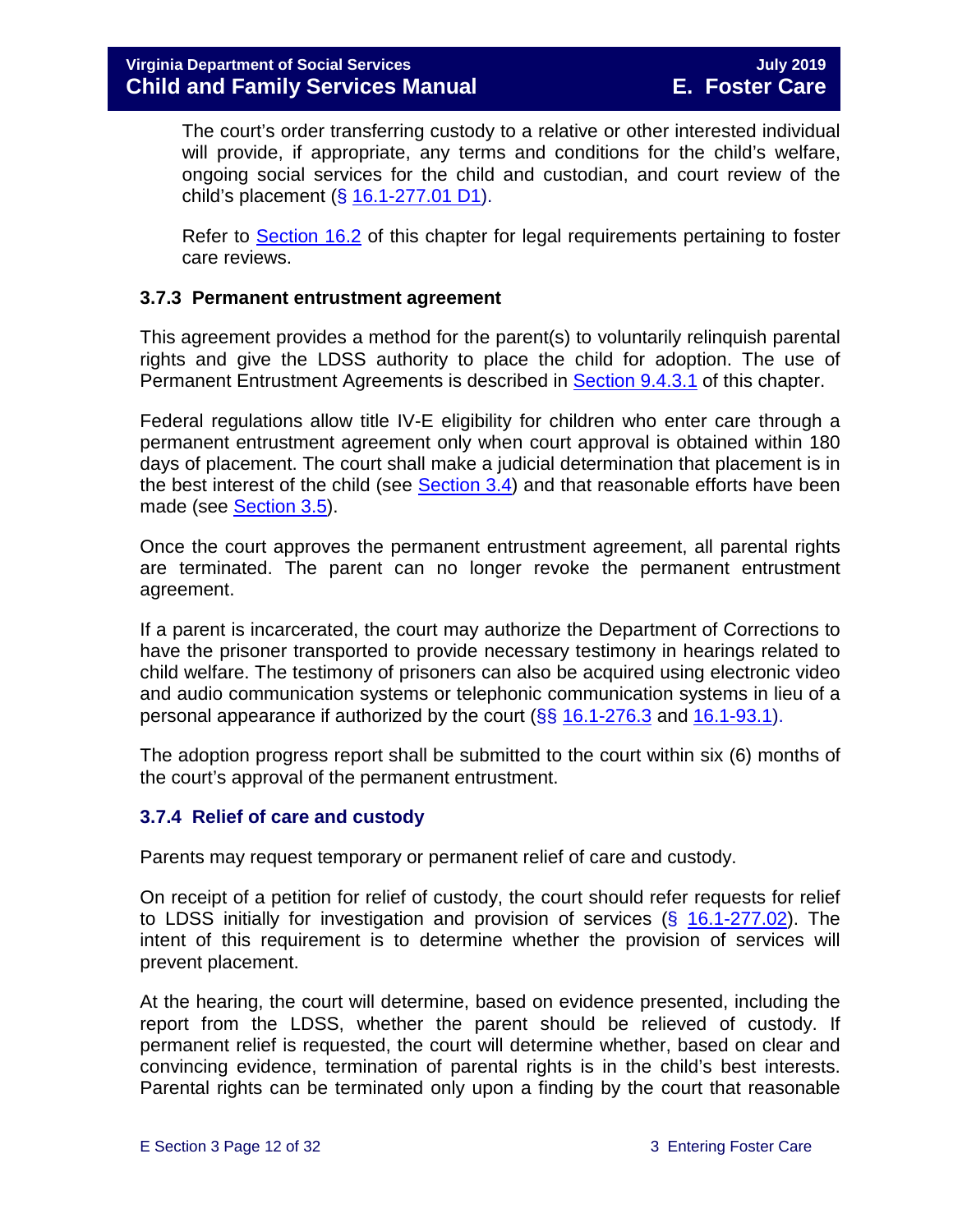The court's order transferring custody to a relative or other interested individual will provide, if appropriate, any terms and conditions for the child's welfare, ongoing social services for the child and custodian, and court review of the child's placement (§ [16.1-277.01 D1\)](http://law.lis.virginia.gov/vacode/16.1-277.01/).

Refer to [Section 16.2](https://fusion.dss.virginia.gov/Portals/%5Bdfs%5D/Files/DFS%20Manuals/Foster%20Care%20Manuals/Foster%20Care%20Manual%2007-2019/section_16_judicial_hearings_and_mandated_foster_care_reviews.pdf#page=3) of this chapter for legal requirements pertaining to foster care reviews.

#### <span id="page-11-0"></span>**3.7.3 Permanent entrustment agreement**

This agreement provides a method for the parent(s) to voluntarily relinquish parental rights and give the LDSS authority to place the child for adoption. The use of Permanent Entrustment Agreements is described in [Section](https://fusion.dss.virginia.gov/Portals/%5Bdfs%5D/Files/DFS%20Manuals/Foster%20Care%20Manuals/Foster%20Care%20Manual%2007-2019/section_9_achieving_permanency_goal_adoption.pdf#page=7) 9.4.3.1 of this chapter.

Federal regulations allow title IV-E eligibility for children who enter care through a permanent entrustment agreement only when court approval is obtained within 180 days of placement. The court shall make a judicial determination that placement is in the best interest of the child (see [Section 3.4\)](#page-3-0) and that reasonable efforts have been made (see **Section 3.5).** 

Once the court approves the permanent entrustment agreement, all parental rights are terminated. The parent can no longer revoke the permanent entrustment agreement.

If a parent is incarcerated, the court may authorize the Department of Corrections to have the prisoner transported to provide necessary testimony in hearings related to child welfare. The testimony of prisoners can also be acquired using electronic video and audio communication systems or telephonic communication systems in lieu of a personal appearance if authorized by the court  $(\S\S 16.1-276.3$  $(\S\S 16.1-276.3$  and  $16.1-93.1)$ .

The adoption progress report shall be submitted to the court within six (6) months of the court's approval of the permanent entrustment.

#### <span id="page-11-1"></span>**3.7.4 Relief of care and custody**

Parents may request temporary or permanent relief of care and custody.

On receipt of a petition for relief of custody, the court should refer requests for relief to LDSS initially for investigation and provision of services  $(\S$  [16.1-277.02\)](http://law.lis.virginia.gov/vacode/16.1-277.02/). The intent of this requirement is to determine whether the provision of services will prevent placement.

At the hearing, the court will determine, based on evidence presented, including the report from the LDSS, whether the parent should be relieved of custody. If permanent relief is requested, the court will determine whether, based on clear and convincing evidence, termination of parental rights is in the child's best interests. Parental rights can be terminated only upon a finding by the court that reasonable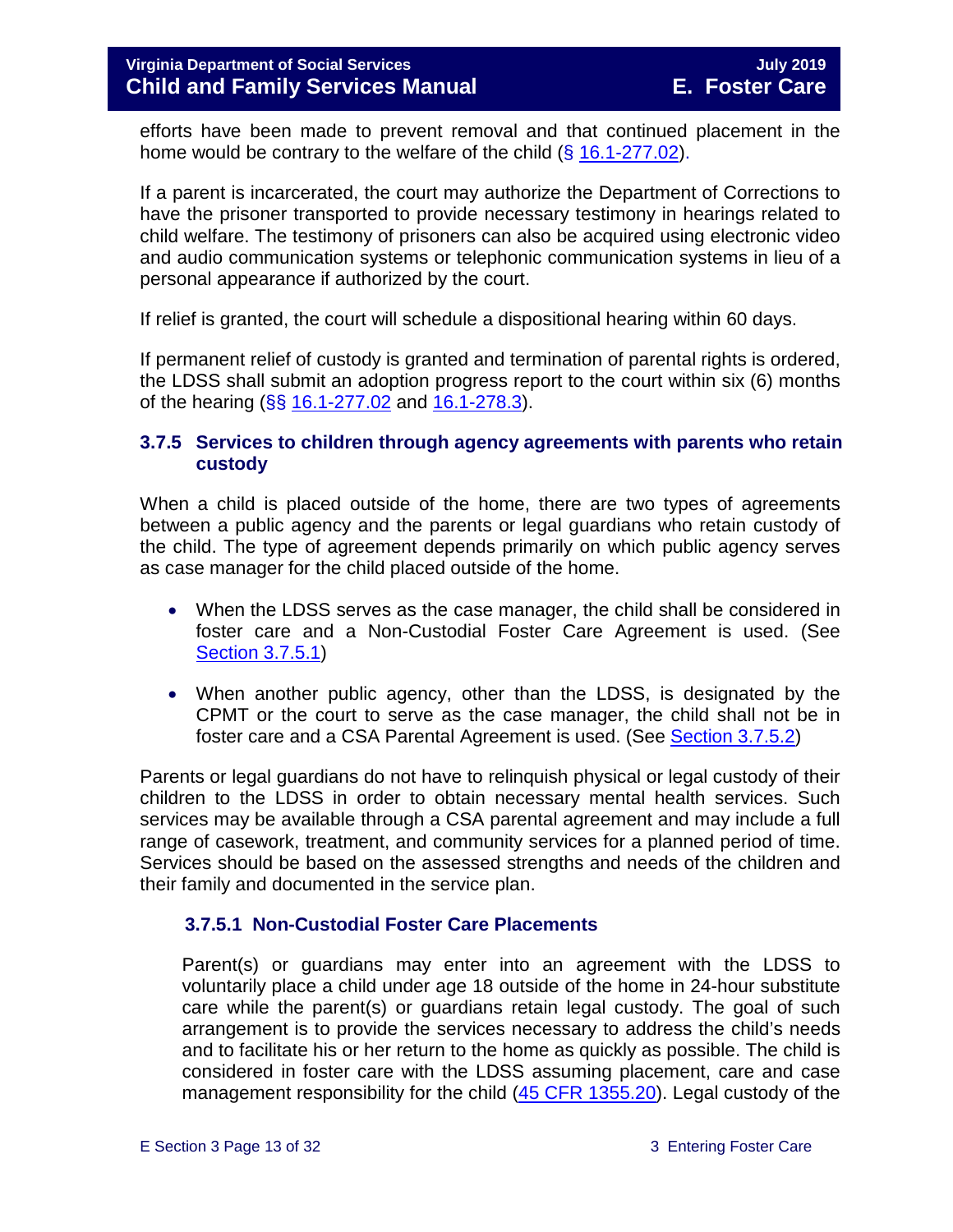efforts have been made to prevent removal and that continued placement in the home would be contrary to the welfare of the child  $(\S 16.1-277.02)$  $(\S 16.1-277.02)$ .

If a parent is incarcerated, the court may authorize the Department of Corrections to have the prisoner transported to provide necessary testimony in hearings related to child welfare. The testimony of prisoners can also be acquired using electronic video and audio communication systems or telephonic communication systems in lieu of a personal appearance if authorized by the court.

If relief is granted, the court will schedule a dispositional hearing within 60 days.

If permanent relief of custody is granted and termination of parental rights is ordered, the LDSS shall submit an adoption progress report to the court within six (6) months of the hearing (§§ [16.1-277.02](http://law.lis.virginia.gov/vacode/16.1-277.02/) and [16.1-278.3\)](http://law.lis.virginia.gov/vacode/16.1-278.3/).

#### <span id="page-12-0"></span>**3.7.5 Services to children through agency agreements with parents who retain custody**

When a child is placed outside of the home, there are two types of agreements between a public agency and the parents or legal guardians who retain custody of the child. The type of agreement depends primarily on which public agency serves as case manager for the child placed outside of the home.

- When the LDSS serves as the case manager, the child shall be considered in foster care and a Non-Custodial Foster Care Agreement is used. (See [Section 3.7.5.1\)](#page-13-0)
- When another public agency, other than the LDSS, is designated by the CPMT or the court to serve as the case manager, the child shall not be in foster care and a CSA Parental Agreement is used. (See [Section 3.7.5.2\)](#page-16-0)

Parents or legal guardians do not have to relinquish physical or legal custody of their children to the LDSS in order to obtain necessary mental health services. Such services may be available through a CSA parental agreement and may include a full range of casework, treatment, and community services for a planned period of time. Services should be based on the assessed strengths and needs of the children and their family and documented in the service plan.

#### **3.7.5.1 Non-Custodial Foster Care Placements**

Parent(s) or guardians may enter into an agreement with the LDSS to voluntarily place a child under age 18 outside of the home in 24-hour substitute care while the parent(s) or guardians retain legal custody. The goal of such arrangement is to provide the services necessary to address the child's needs and to facilitate his or her return to the home as quickly as possible. The child is considered in foster care with the LDSS assuming placement, care and case management responsibility for the child [\(45 CFR 1355.20\)](http://edocket.access.gpo.gov/cfr_2002/octqtr/45cfr1355.20.htm). Legal custody of the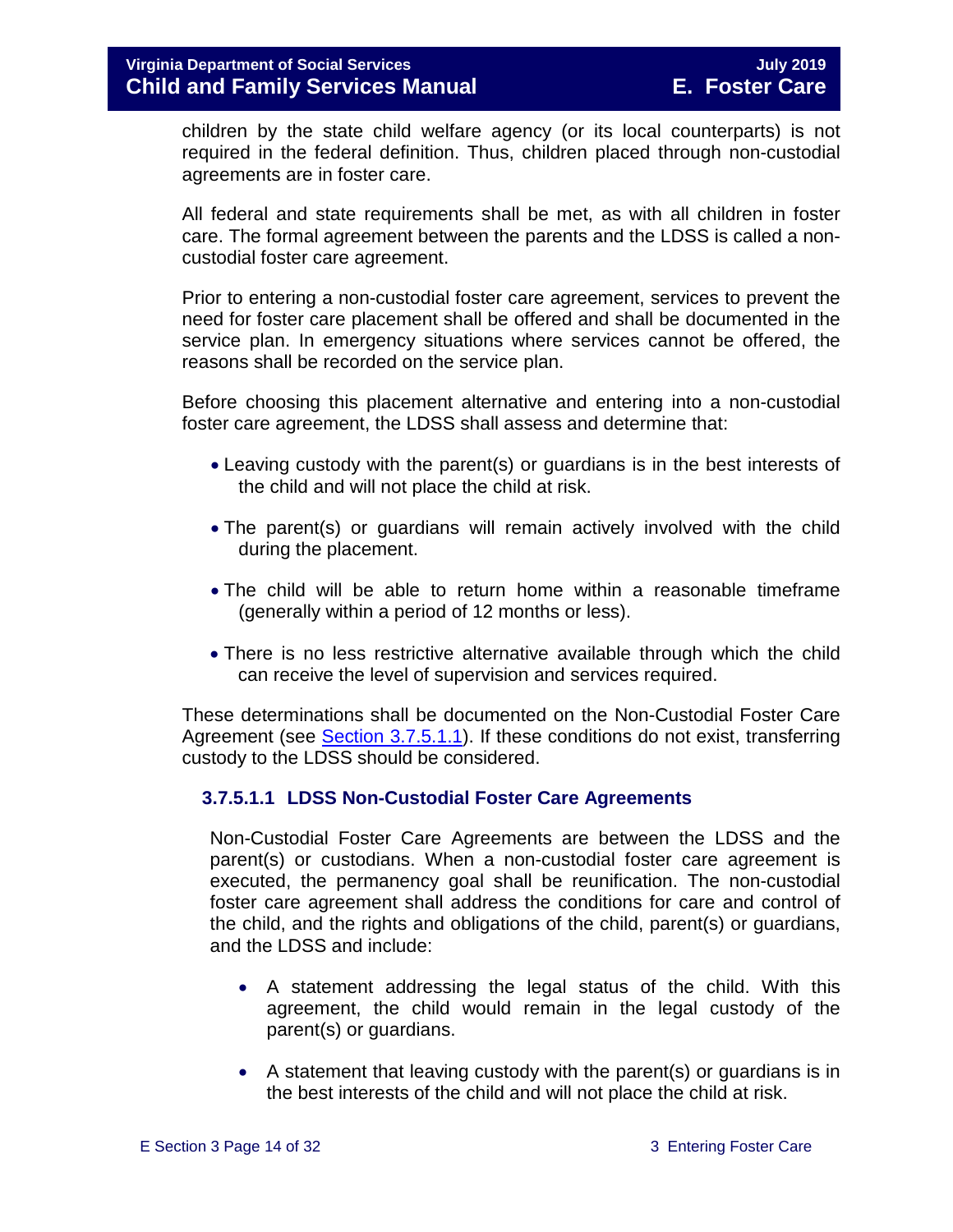children by the state child welfare agency (or its local counterparts) is not required in the federal definition. Thus, children placed through non-custodial agreements are in foster care.

All federal and state requirements shall be met, as with all children in foster care. The formal agreement between the parents and the LDSS is called a noncustodial foster care agreement.

Prior to entering a non-custodial foster care agreement, services to prevent the need for foster care placement shall be offered and shall be documented in the service plan. In emergency situations where services cannot be offered, the reasons shall be recorded on the service plan.

Before choosing this placement alternative and entering into a non-custodial foster care agreement, the LDSS shall assess and determine that:

- Leaving custody with the parent(s) or guardians is in the best interests of the child and will not place the child at risk.
- The parent(s) or guardians will remain actively involved with the child during the placement.
- The child will be able to return home within a reasonable timeframe (generally within a period of 12 months or less).
- There is no less restrictive alternative available through which the child can receive the level of supervision and services required.

These determinations shall be documented on the Non-Custodial Foster Care Agreement (see [Section 3.7.5.1.1\)](#page-13-0). If these conditions do not exist, transferring custody to the LDSS should be considered.

#### <span id="page-13-0"></span>**3.7.5.1.1 LDSS Non-Custodial Foster Care Agreements**

Non-Custodial Foster Care Agreements are between the LDSS and the parent(s) or custodians. When a non-custodial foster care agreement is executed, the permanency goal shall be reunification. The non-custodial foster care agreement shall address the conditions for care and control of the child, and the rights and obligations of the child, parent(s) or guardians, and the LDSS and include:

- A statement addressing the legal status of the child. With this agreement, the child would remain in the legal custody of the parent(s) or guardians.
- A statement that leaving custody with the parent(s) or guardians is in the best interests of the child and will not place the child at risk.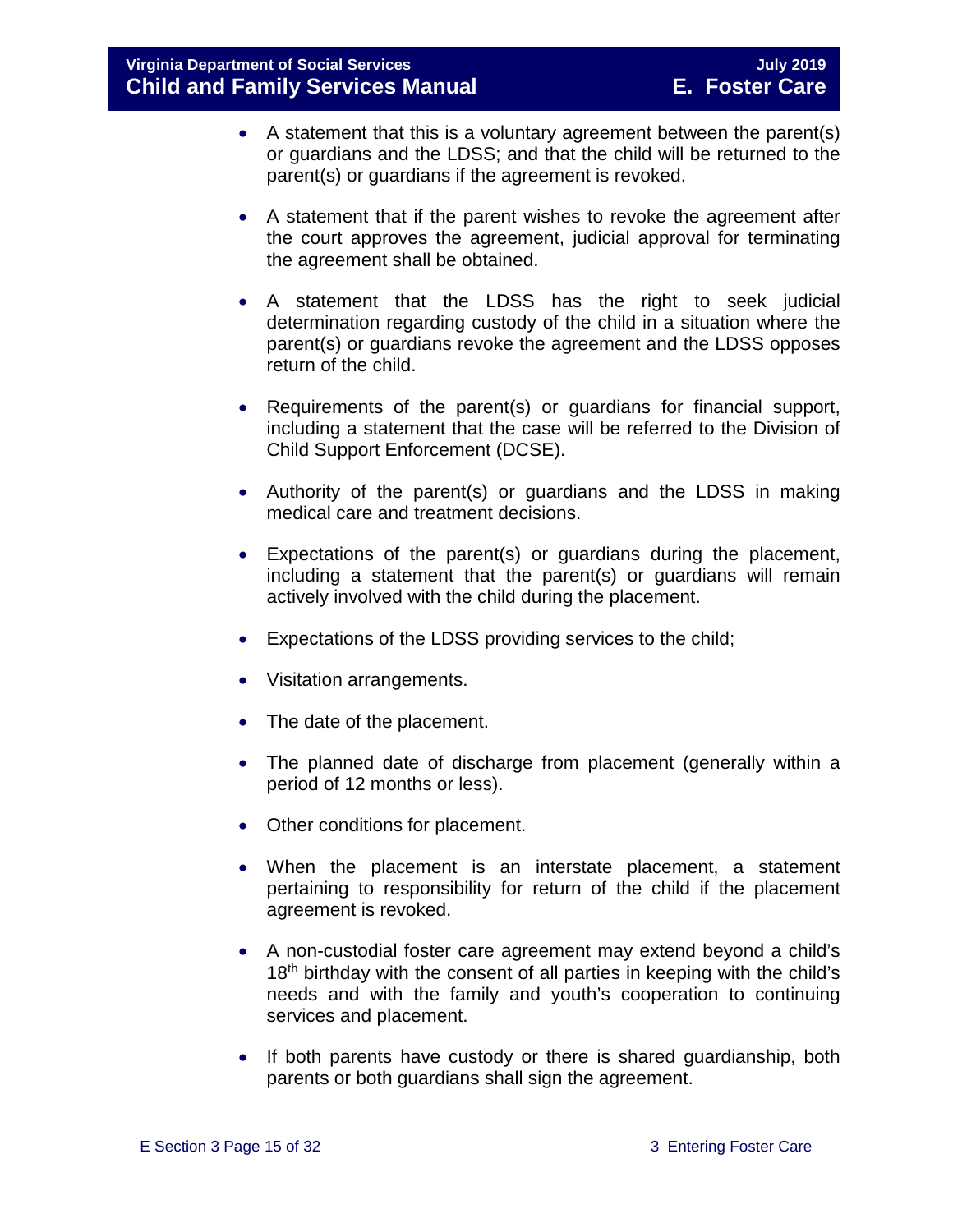- A statement that this is a voluntary agreement between the parent(s) or guardians and the LDSS; and that the child will be returned to the parent(s) or guardians if the agreement is revoked.
- A statement that if the parent wishes to revoke the agreement after the court approves the agreement, judicial approval for terminating the agreement shall be obtained.
- A statement that the LDSS has the right to seek judicial determination regarding custody of the child in a situation where the parent(s) or guardians revoke the agreement and the LDSS opposes return of the child.
- Requirements of the parent(s) or guardians for financial support, including a statement that the case will be referred to the Division of Child Support Enforcement (DCSE).
- Authority of the parent(s) or guardians and the LDSS in making medical care and treatment decisions.
- Expectations of the parent(s) or guardians during the placement, including a statement that the parent(s) or guardians will remain actively involved with the child during the placement.
- Expectations of the LDSS providing services to the child;
- Visitation arrangements.
- The date of the placement.
- The planned date of discharge from placement (generally within a period of 12 months or less).
- Other conditions for placement.
- When the placement is an interstate placement, a statement pertaining to responsibility for return of the child if the placement agreement is revoked.
- A non-custodial foster care agreement may extend beyond a child's 18<sup>th</sup> birthday with the consent of all parties in keeping with the child's needs and with the family and youth's cooperation to continuing services and placement.
- If both parents have custody or there is shared guardianship, both parents or both guardians shall sign the agreement.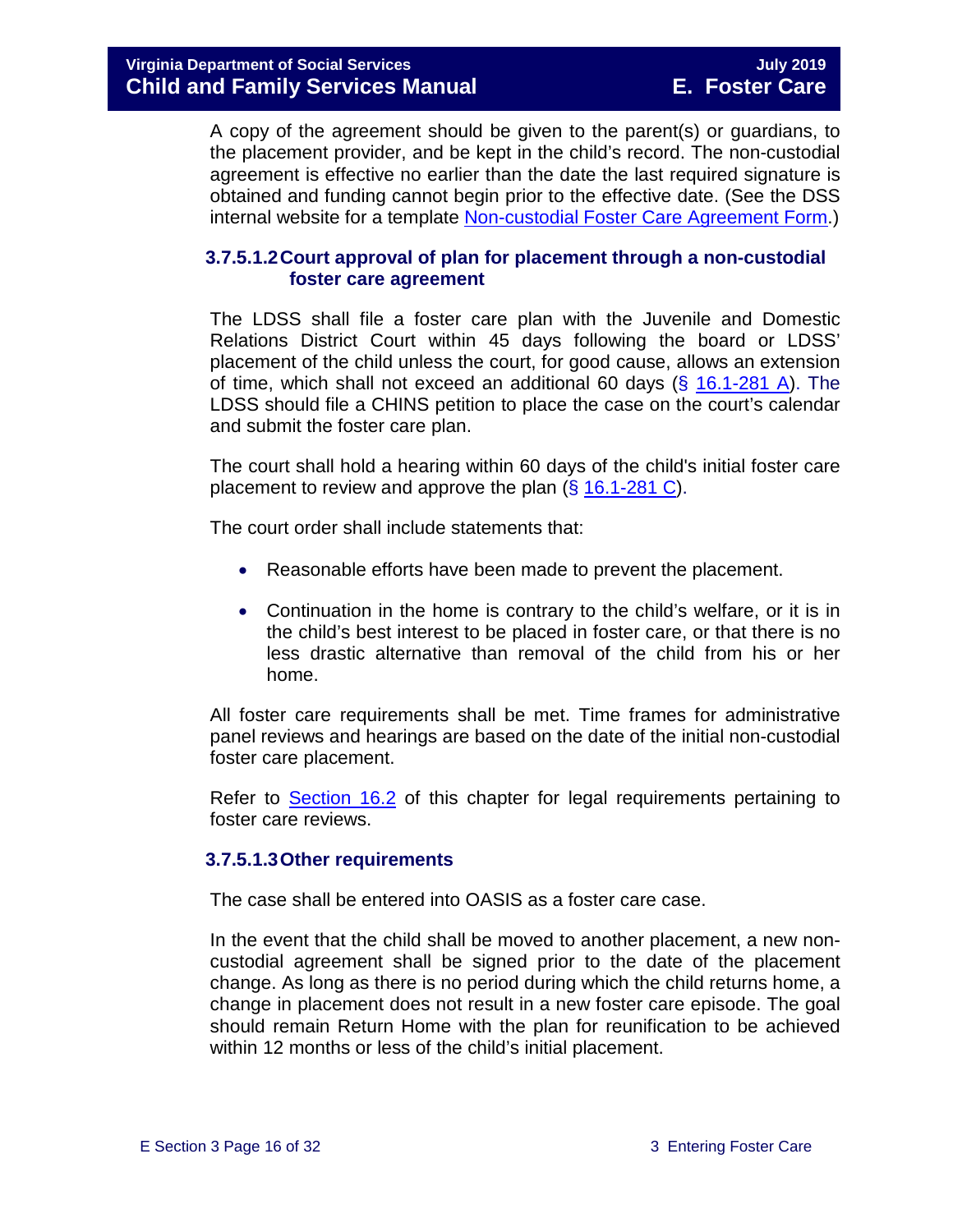A copy of the agreement should be given to the parent(s) or guardians, to the placement provider, and be kept in the child's record. The non-custodial agreement is effective no earlier than the date the last required signature is obtained and funding cannot begin prior to the effective date. (See the DSS internal website for a template [Non-custodial Foster Care Agreement Form.](https://fusion.dss.virginia.gov/dfs/DFS-Home/Foster-Care/Foster-Care-Forms))

#### **3.7.5.1.2Court approval of plan for placement through a non-custodial foster care agreement**

The LDSS shall file a foster care plan with the Juvenile and Domestic Relations District Court within 45 days following the board or LDSS' placement of the child unless the court, for good cause, allows an extension of time, which shall not exceed an additional 60 days  $(\S$  [16.1-281 A\)](http://law.lis.virginia.gov/vacode/16.1-281/). The LDSS should file a CHINS petition to place the case on the court's calendar and submit the foster care plan.

The court shall hold a hearing within 60 days of the child's initial foster care placement to review and approve the plan (§ [16.1-281 C\)](http://law.lis.virginia.gov/vacode/16.1-281/).

The court order shall include statements that:

- Reasonable efforts have been made to prevent the placement.
- Continuation in the home is contrary to the child's welfare, or it is in the child's best interest to be placed in foster care, or that there is no less drastic alternative than removal of the child from his or her home.

All foster care requirements shall be met. Time frames for administrative panel reviews and hearings are based on the date of the initial non-custodial foster care placement.

Refer to [Section 16.2](https://fusion.dss.virginia.gov/Portals/%5Bdfs%5D/Files/DFS%20Manuals/Foster%20Care%20Manuals/Foster%20Care%20Manual%2007-2019/section_16_judicial_hearings_and_mandated_foster_care_reviews.pdf#page=3) of this chapter for legal requirements pertaining to foster care reviews.

#### **3.7.5.1.3Other requirements**

The case shall be entered into OASIS as a foster care case.

In the event that the child shall be moved to another placement, a new noncustodial agreement shall be signed prior to the date of the placement change. As long as there is no period during which the child returns home, a change in placement does not result in a new foster care episode. The goal should remain Return Home with the plan for reunification to be achieved within 12 months or less of the child's initial placement.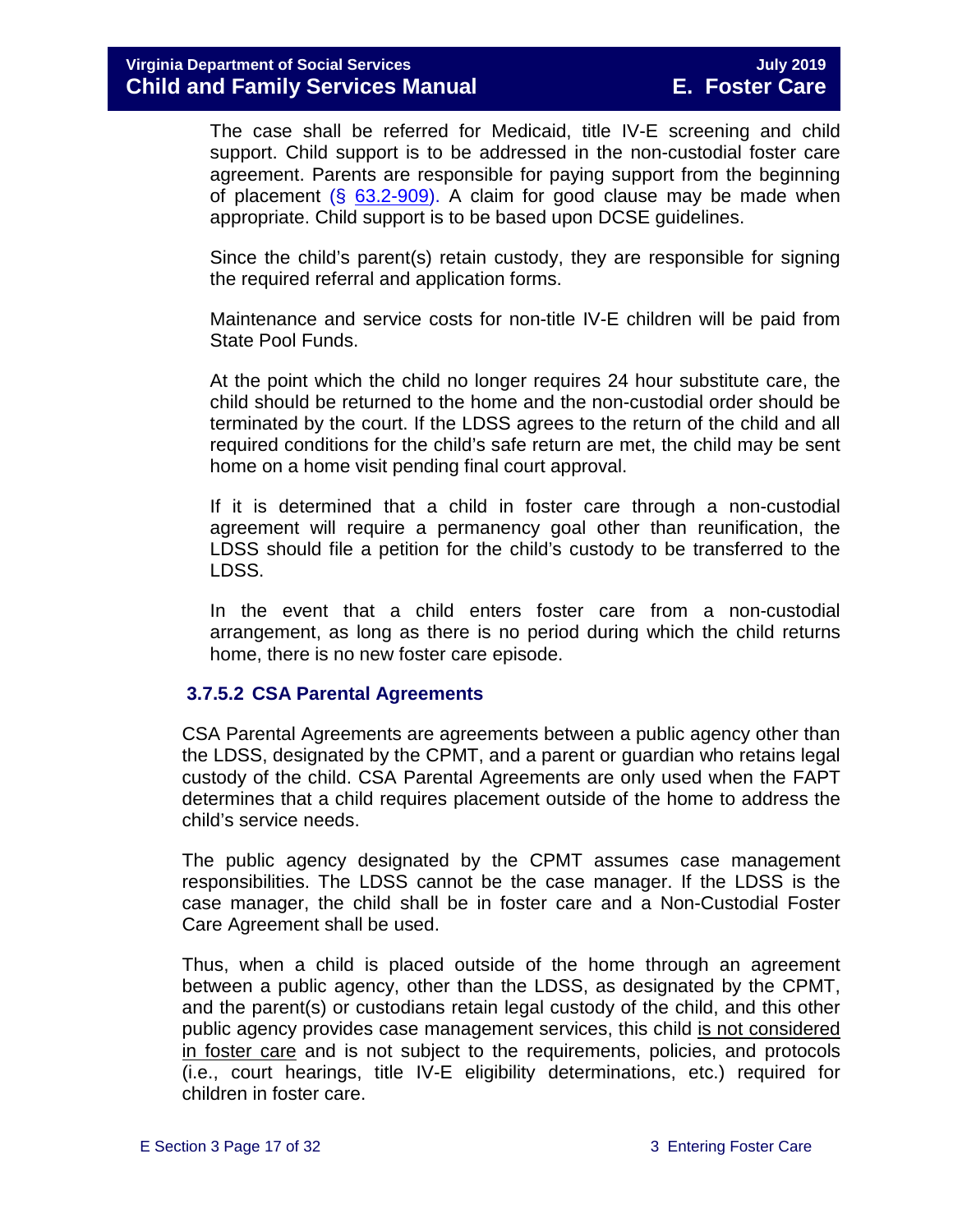The case shall be referred for Medicaid, title IV-E screening and child support. Child support is to be addressed in the non-custodial foster care agreement. Parents are responsible for paying support from the beginning of placement  $(\S$  [63.2-909\)](http://law.lis.virginia.gov/vacode/63.2-909/). A claim for good clause may be made when appropriate. Child support is to be based upon DCSE guidelines.

Since the child's parent(s) retain custody, they are responsible for signing the required referral and application forms.

Maintenance and service costs for non-title IV-E children will be paid from State Pool Funds.

At the point which the child no longer requires 24 hour substitute care, the child should be returned to the home and the non-custodial order should be terminated by the court. If the LDSS agrees to the return of the child and all required conditions for the child's safe return are met, the child may be sent home on a home visit pending final court approval.

If it is determined that a child in foster care through a non-custodial agreement will require a permanency goal other than reunification, the LDSS should file a petition for the child's custody to be transferred to the LDSS.

In the event that a child enters foster care from a non-custodial arrangement, as long as there is no period during which the child returns home, there is no new foster care episode.

#### <span id="page-16-0"></span>**3.7.5.2 CSA Parental Agreements**

CSA Parental Agreements are agreements between a public agency other than the LDSS, designated by the CPMT, and a parent or guardian who retains legal custody of the child. CSA Parental Agreements are only used when the FAPT determines that a child requires placement outside of the home to address the child's service needs.

The public agency designated by the CPMT assumes case management responsibilities. The LDSS cannot be the case manager. If the LDSS is the case manager, the child shall be in foster care and a Non-Custodial Foster Care Agreement shall be used.

Thus, when a child is placed outside of the home through an agreement between a public agency, other than the LDSS, as designated by the CPMT, and the parent(s) or custodians retain legal custody of the child, and this other public agency provides case management services, this child is not considered in foster care and is not subject to the requirements, policies, and protocols (i.e., court hearings, title IV-E eligibility determinations, etc.) required for children in foster care.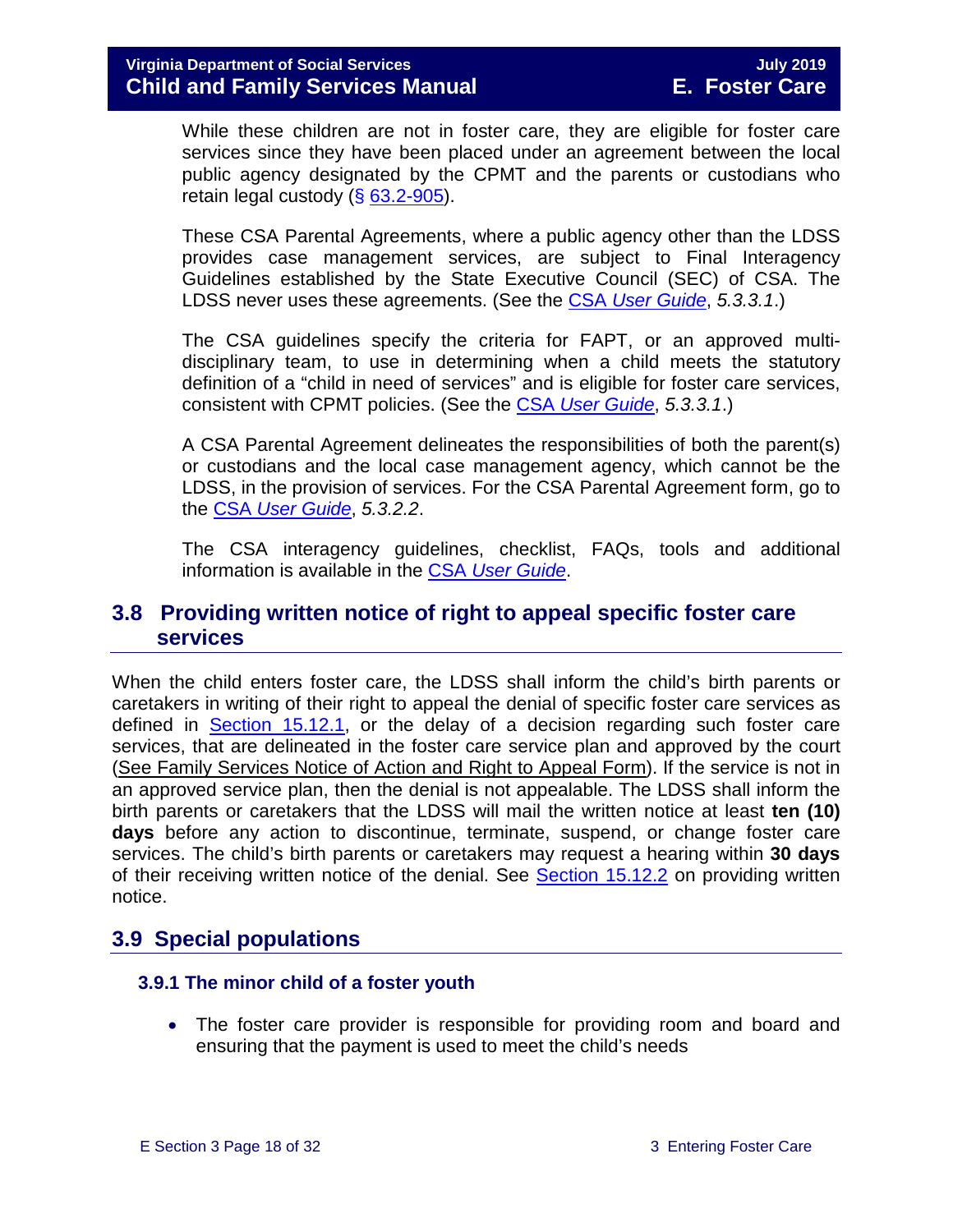While these children are not in foster care, they are eligible for foster care services since they have been placed under an agreement between the local public agency designated by the CPMT and the parents or custodians who retain legal custody (§ [63.2-905\)](http://law.lis.virginia.gov/vacode/63.2-905/).

These CSA Parental Agreements, where a public agency other than the LDSS provides case management services, are subject to Final Interagency Guidelines established by the State Executive Council (SEC) of CSA. The LDSS never uses these agreements. (See the CSA *[User Guide](https://www.csa.virginia.gov/content/doc/CSA_User_Guide_2018_Update.pdf)*, *5.3.3.1*.)

The CSA guidelines specify the criteria for FAPT, or an approved multidisciplinary team, to use in determining when a child meets the statutory definition of a "child in need of services" and is eligible for foster care services, consistent with CPMT policies. (See the CSA *[User Guide](https://www.csa.virginia.gov/content/doc/CSA_User_Guide_2018_Update.pdf)*, *5.3.3.1*.)

A CSA Parental Agreement delineates the responsibilities of both the parent(s) or custodians and the local case management agency, which cannot be the LDSS, in the provision of services. For the CSA Parental Agreement form, go to the CSA *[User Guide](https://www.csa.virginia.gov/content/doc/CSA_User_Guide_2018_Update.pdf)*, *5.3.2.2*.

The CSA interagency guidelines, checklist, FAQs, tools and additional information is available in the CSA *[User Guide](https://www.csa.virginia.gov/content/doc/CSA_User_Guide_2018_Update.pdf)*.

#### <span id="page-17-0"></span>**3.8 Providing written notice of right to appeal specific foster care services**

When the child enters foster care, the LDSS shall inform the child's birth parents or caretakers in writing of their right to appeal the denial of specific foster care services as defined in [Section 15.12.1,](https://fusion.dss.virginia.gov/Portals/%5Bdfs%5D/Files/DFS%20Manuals/Foster%20Care%20Manuals/Foster%20Care%20Manual%2007-2019/section_15_developing_service_plan.pdf#page=17) or the delay of a decision regarding such foster care services, that are delineated in the foster care service plan and approved by the court [\(See Family Services Notice of Action and Right to Appeal Form\)](http://www.dss.virginia.gov/files/division/dfs/fc/intro_page/forms/032-02-0669-00-eng.pdf). If the service is not in an approved service plan, then the denial is not appealable. The LDSS shall inform the birth parents or caretakers that the LDSS will mail the written notice at least **ten (10) days** before any action to discontinue, terminate, suspend, or change foster care services. The child's birth parents or caretakers may request a hearing within **30 days** of their receiving written notice of the denial. See [Section 15.12.2](https://fusion.dss.virginia.gov/Portals/%5Bdfs%5D/Files/DFS%20Manuals/Foster%20Care%20Manuals/Foster%20Care%20Manual%2007-2019/section_15_developing_service_plan.pdf#page=18) on providing written notice.

# <span id="page-17-1"></span>**3.9 Special populations**

#### <span id="page-17-2"></span> **3.9.1 The minor child of a foster youth**

• The foster care provider is responsible for providing room and board and ensuring that the payment is used to meet the child's needs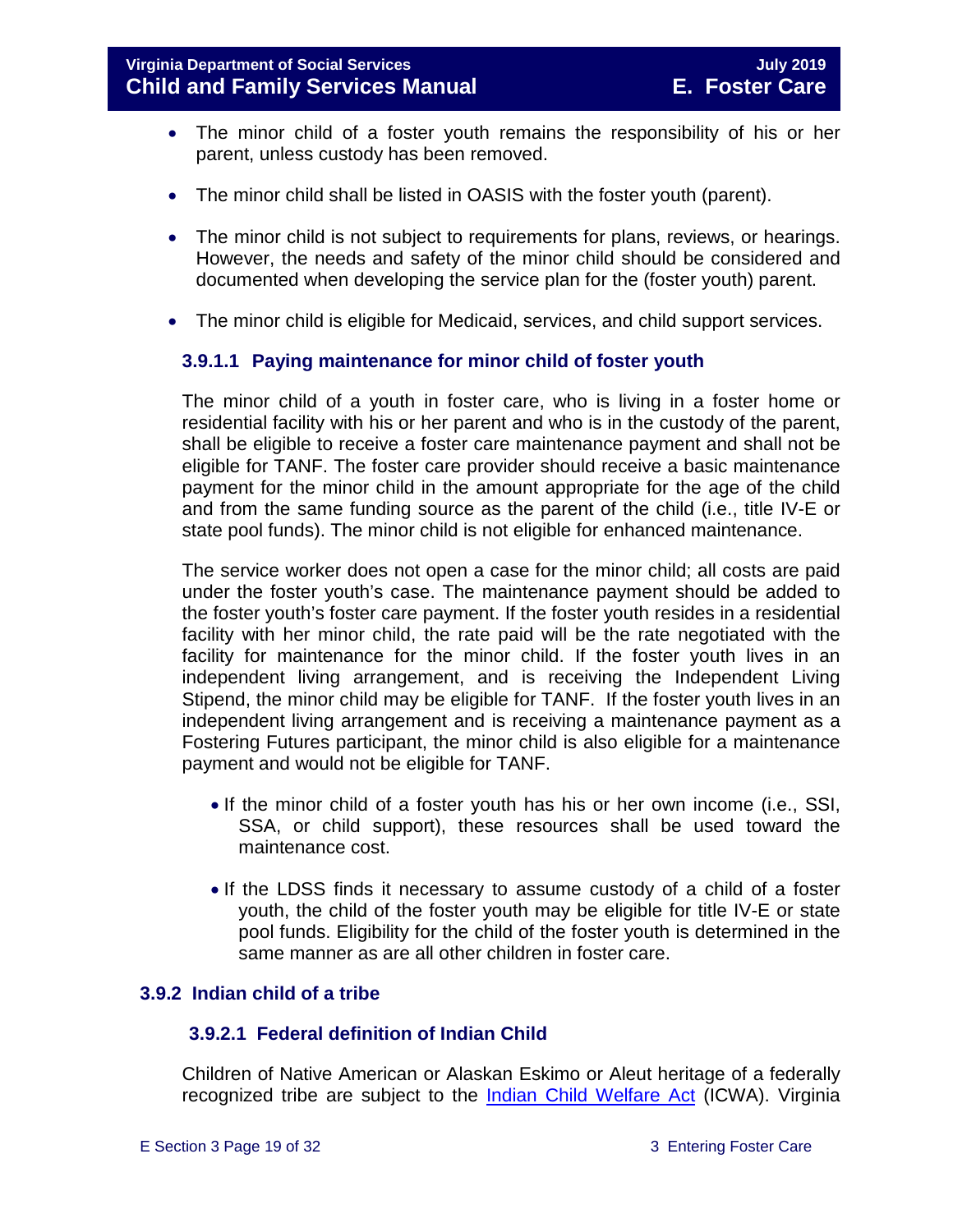- The minor child of a foster youth remains the responsibility of his or her parent, unless custody has been removed.
- The minor child shall be listed in OASIS with the foster youth (parent).
- The minor child is not subject to requirements for plans, reviews, or hearings. However, the needs and safety of the minor child should be considered and documented when developing the service plan for the (foster youth) parent.
- The minor child is eligible for Medicaid, services, and child support services.

#### **3.9.1.1 Paying maintenance for minor child of foster youth**

The minor child of a youth in foster care, who is living in a foster home or residential facility with his or her parent and who is in the custody of the parent, shall be eligible to receive a foster care maintenance payment and shall not be eligible for TANF. The foster care provider should receive a basic maintenance payment for the minor child in the amount appropriate for the age of the child and from the same funding source as the parent of the child (i.e., title IV-E or state pool funds). The minor child is not eligible for enhanced maintenance.

The service worker does not open a case for the minor child; all costs are paid under the foster youth's case. The maintenance payment should be added to the foster youth's foster care payment. If the foster youth resides in a residential facility with her minor child, the rate paid will be the rate negotiated with the facility for maintenance for the minor child. If the foster youth lives in an independent living arrangement, and is receiving the Independent Living Stipend, the minor child may be eligible for TANF. If the foster youth lives in an independent living arrangement and is receiving a maintenance payment as a Fostering Futures participant, the minor child is also eligible for a maintenance payment and would not be eligible for TANF.

- If the minor child of a foster youth has his or her own income (i.e., SSI, SSA, or child support), these resources shall be used toward the maintenance cost.
- If the LDSS finds it necessary to assume custody of a child of a foster youth, the child of the foster youth may be eligible for title IV-E or state pool funds. Eligibility for the child of the foster youth is determined in the same manner as are all other children in foster care.

#### <span id="page-18-0"></span>**3.9.2 Indian child of a tribe**

#### **3.9.2.1 Federal definition of Indian Child**

Children of Native American or Alaskan Eskimo or Aleut heritage of a federally recognized tribe are subject to the [Indian Child Welfare Act](http://www.gpo.gov/fdsys/pkg/USCODE-2010-title25/pdf/USCODE-2010-title25-chap21.pdf) (ICWA). Virginia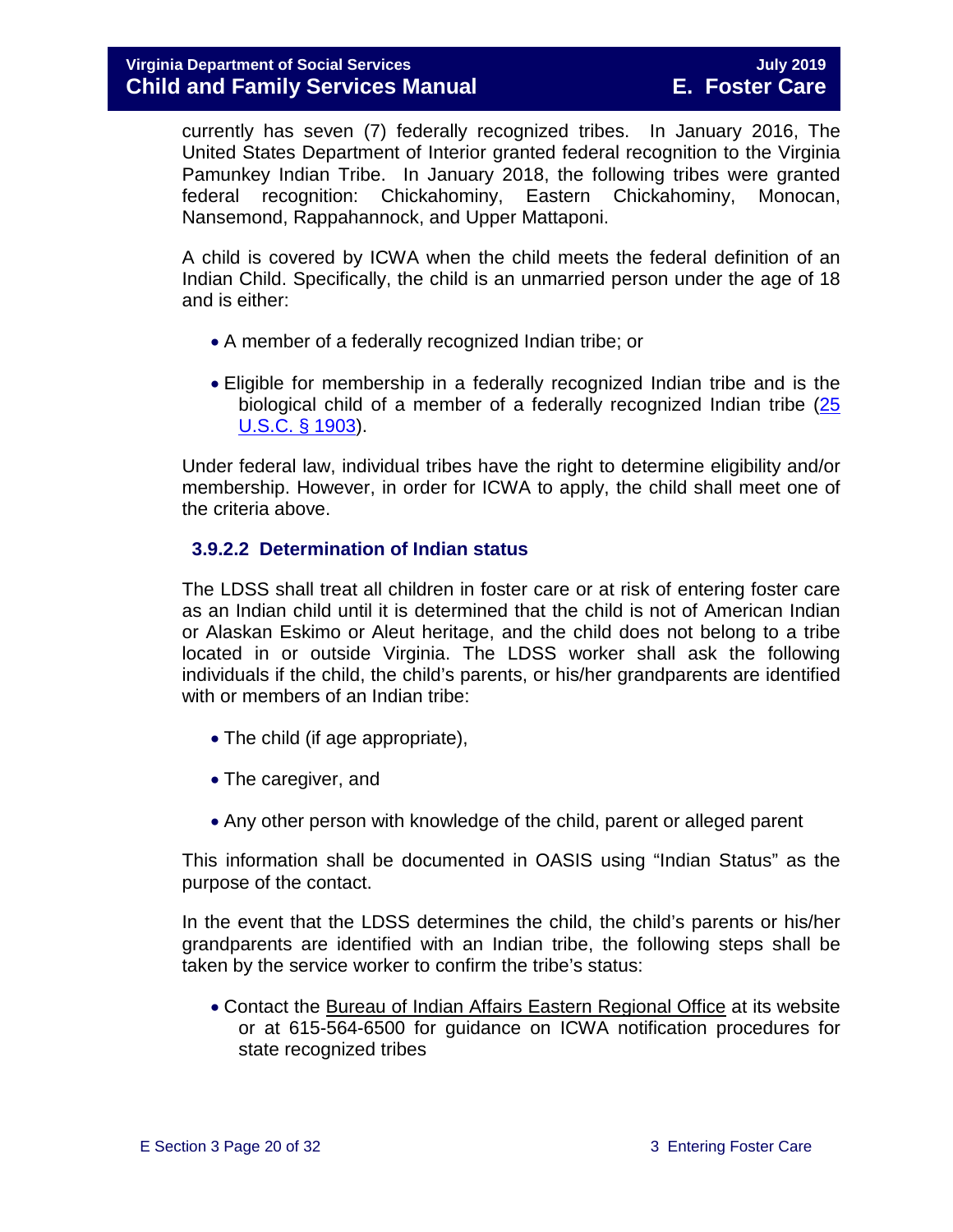currently has seven (7) federally recognized tribes. In January 2016, The United States Department of Interior granted federal recognition to the Virginia Pamunkey Indian Tribe. In January 2018, the following tribes were granted federal recognition: Chickahominy, Eastern Chickahominy, Monocan, Nansemond, Rappahannock, and Upper Mattaponi.

A child is covered by ICWA when the child meets the federal definition of an Indian Child. Specifically, the child is an unmarried person under the age of 18 and is either:

- A member of a federally recognized Indian tribe; or
- Eligible for membership in a federally recognized Indian tribe and is the biological child of a member of a federally recognized Indian tribe [\(25](http://www.gpo.gov/fdsys/pkg/USCODE-2011-title25/pdf/USCODE-2011-title25-chap21.pdf)  [U.S.C. § 1903\)](http://www.gpo.gov/fdsys/pkg/USCODE-2011-title25/pdf/USCODE-2011-title25-chap21.pdf).

Under federal law, individual tribes have the right to determine eligibility and/or membership. However, in order for ICWA to apply, the child shall meet one of the criteria above.

#### **3.9.2.2 Determination of Indian status**

The LDSS shall treat all children in foster care or at risk of entering foster care as an Indian child until it is determined that the child is not of American Indian or Alaskan Eskimo or Aleut heritage, and the child does not belong to a tribe located in or outside Virginia. The LDSS worker shall ask the following individuals if the child, the child's parents, or his/her grandparents are identified with or members of an Indian tribe:

- The child (if age appropriate),
- The caregiver, and
- Any other person with knowledge of the child, parent or alleged parent

This information shall be documented in OASIS using "Indian Status" as the purpose of the contact.

In the event that the LDSS determines the child, the child's parents or his/her grandparents are identified with an Indian tribe, the following steps shall be taken by the service worker to confirm the tribe's status:

• Contact the [Bureau of Indian Affairs Eastern Regional Office](http://www.bia.gov/WhoWeAre/RegionalOffices/Eastern/index.htm) at its website or at 615-564-6500 for guidance on ICWA notification procedures for state recognized tribes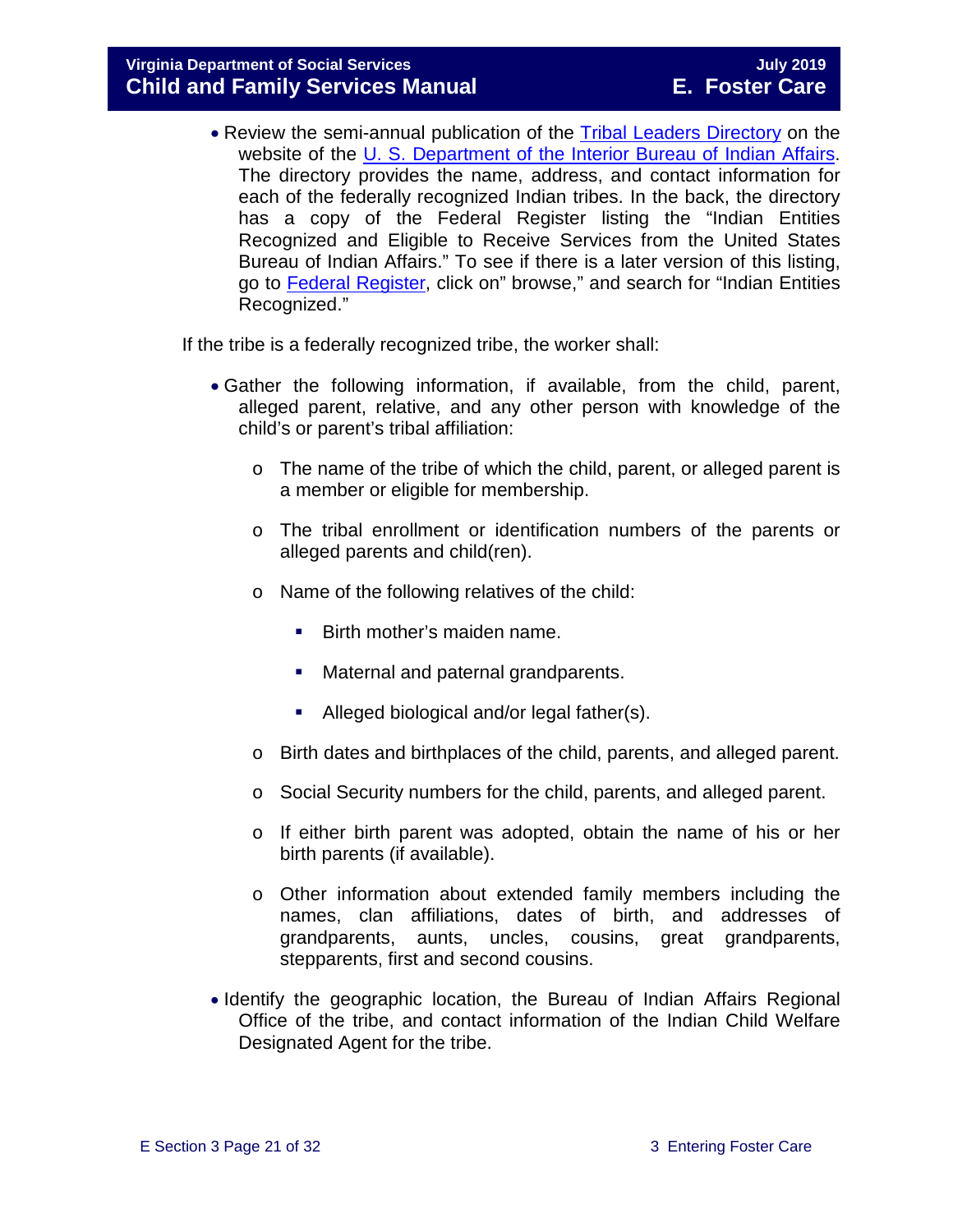• Review the semi-annual publication of the [Tribal Leaders Directory](http://www.bia.gov/WhoWeAre/BIA/OIS/TribalGovernmentServices/TribalDirectory/index.htm) on the website of the [U. S. Department of the Interior Bureau of Indian Affairs.](http://www.bia.gov/) The directory provides the name, address, and contact information for each of the federally recognized Indian tribes. In the back, the directory has a copy of the Federal Register listing the "Indian Entities Recognized and Eligible to Receive Services from the United States Bureau of Indian Affairs." To see if there is a later version of this listing, go to [Federal Register,](https://www.federalregister.gov/) click on" browse," and search for "Indian Entities Recognized."

If the tribe is a federally recognized tribe, the worker shall:

- Gather the following information, if available, from the child, parent, alleged parent, relative, and any other person with knowledge of the child's or parent's tribal affiliation:
	- o The name of the tribe of which the child, parent, or alleged parent is a member or eligible for membership.
	- o The tribal enrollment or identification numbers of the parents or alleged parents and child(ren).
	- o Name of the following relatives of the child:
		- **Birth mother's maiden name.**
		- Maternal and paternal grandparents.
		- Alleged biological and/or legal father(s).
	- o Birth dates and birthplaces of the child, parents, and alleged parent.
	- o Social Security numbers for the child, parents, and alleged parent.
	- o If either birth parent was adopted, obtain the name of his or her birth parents (if available).
	- o Other information about extended family members including the names, clan affiliations, dates of birth, and addresses of grandparents, aunts, uncles, cousins, great grandparents, stepparents, first and second cousins.
- Identify the geographic location, the Bureau of Indian Affairs Regional Office of the tribe, and contact information of the Indian Child Welfare Designated Agent for the tribe.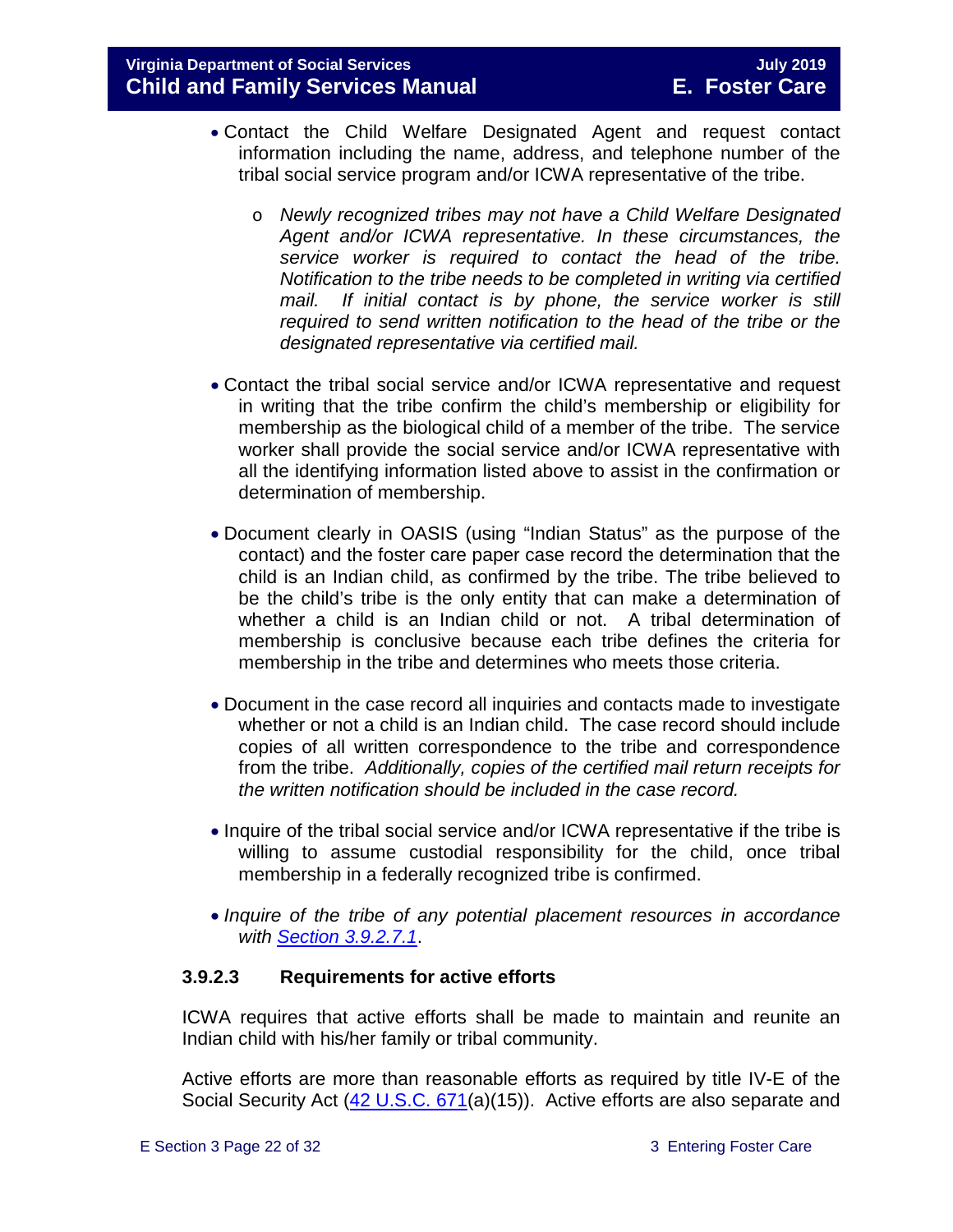- Contact the Child Welfare Designated Agent and request contact information including the name, address, and telephone number of the tribal social service program and/or ICWA representative of the tribe.
	- o *Newly recognized tribes may not have a Child Welfare Designated Agent and/or ICWA representative. In these circumstances, the service worker is required to contact the head of the tribe. Notification to the tribe needs to be completed in writing via certified*  mail. If initial contact is by phone, the service worker is still *required to send written notification to the head of the tribe or the designated representative via certified mail.*
- Contact the tribal social service and/or ICWA representative and request in writing that the tribe confirm the child's membership or eligibility for membership as the biological child of a member of the tribe. The service worker shall provide the social service and/or ICWA representative with all the identifying information listed above to assist in the confirmation or determination of membership.
- Document clearly in OASIS (using "Indian Status" as the purpose of the contact) and the foster care paper case record the determination that the child is an Indian child, as confirmed by the tribe. The tribe believed to be the child's tribe is the only entity that can make a determination of whether a child is an Indian child or not. A tribal determination of membership is conclusive because each tribe defines the criteria for membership in the tribe and determines who meets those criteria.
- Document in the case record all inquiries and contacts made to investigate whether or not a child is an Indian child. The case record should include copies of all written correspondence to the tribe and correspondence from the tribe. *Additionally, copies of the certified mail return receipts for the written notification should be included in the case record.*
- Inquire of the tribal social service and/or ICWA representative if the tribe is willing to assume custodial responsibility for the child, once tribal membership in a federally recognized tribe is confirmed.
- *Inquire of the tribe of any potential placement resources in accordance with [Section 3.9.2.7.1](#page-27-0)*.

#### **3.9.2.3 Requirements for active efforts**

ICWA requires that active efforts shall be made to maintain and reunite an Indian child with his/her family or tribal community.

Active efforts are more than reasonable efforts as required by title IV-E of the Social Security Act [\(42 U.S.C. 671\(](http://api.fdsys.gov/link?collection=uscode&title=42&year=mostrecent§ion=671&type=usc&link-type=html)a)(15)). Active efforts are also separate and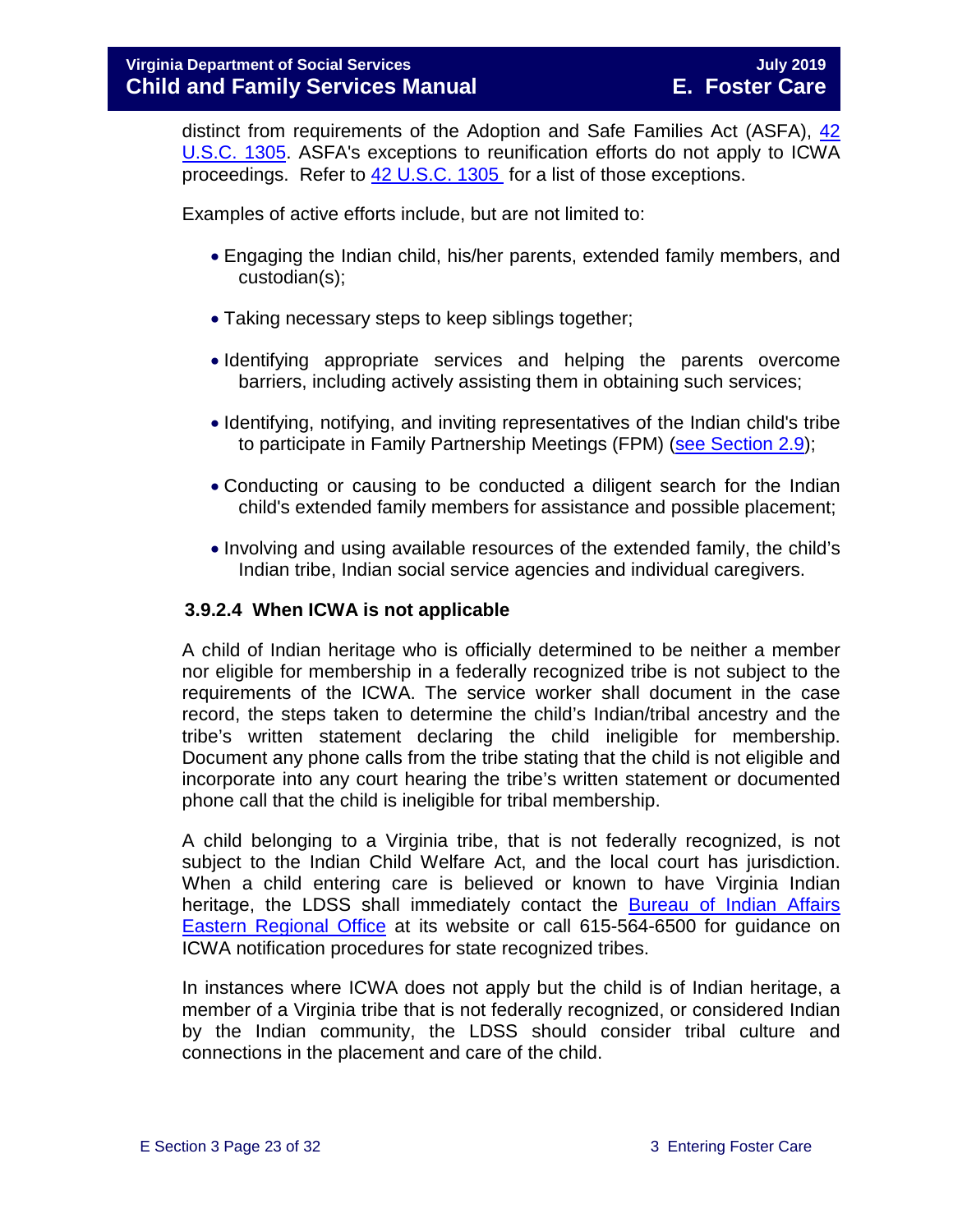distinct from requirements of the Adoption and Safe Families Act (ASFA), [42](http://api.fdsys.gov/link?collection=uscode&title=42&year=mostrecent§ion=1305&type=usc&link-type=html)  [U.S.C. 1305.](http://api.fdsys.gov/link?collection=uscode&title=42&year=mostrecent§ion=1305&type=usc&link-type=html) ASFA's exceptions to reunification efforts do not apply to ICWA proceedings. Refer to [42 U.S.C. 1305](http://api.fdsys.gov/link?collection=uscode&title=42&year=mostrecent§ion=1305&type=usc&link-type=html) for a list of those exceptions.

Examples of active efforts include, but are not limited to:

- Engaging the Indian child, his/her parents, extended family members, and custodian(s);
- Taking necessary steps to keep siblings together;
- Identifying appropriate services and helping the parents overcome barriers, including actively assisting them in obtaining such services;
- Identifying, notifying, and inviting representatives of the Indian child's tribe to participate in Family Partnership Meetings (FPM) [\(see Section 2.9\)](https://fusion.dss.virginia.gov/Portals/%5bdfs%5d/Files/DFS%20Manuals/Foster%20Care%20Manuals/Foster%20Care%20Manual%2007-2019/section_2_engaging_the_child_family_and_significant_adults.pdf#page=19);
- Conducting or causing to be conducted a diligent search for the Indian child's extended family members for assistance and possible placement;
- Involving and using available resources of the extended family, the child's Indian tribe, Indian social service agencies and individual caregivers.

#### **3.9.2.4 When ICWA is not applicable**

A child of Indian heritage who is officially determined to be neither a member nor eligible for membership in a federally recognized tribe is not subject to the requirements of the ICWA. The service worker shall document in the case record, the steps taken to determine the child's Indian/tribal ancestry and the tribe's written statement declaring the child ineligible for membership. Document any phone calls from the tribe stating that the child is not eligible and incorporate into any court hearing the tribe's written statement or documented phone call that the child is ineligible for tribal membership.

A child belonging to a Virginia tribe, that is not federally recognized, is not subject to the Indian Child Welfare Act, and the local court has jurisdiction. When a child entering care is believed or known to have Virginia Indian heritage, the LDSS shall immediately contact the [Bureau of Indian Affairs](http://www.bia.gov/WhoWeAre/RegionalOffices/Eastern/index.htm)  [Eastern Regional Office](http://www.bia.gov/WhoWeAre/RegionalOffices/Eastern/index.htm) at its website or call 615-564-6500 for guidance on ICWA notification procedures for state recognized tribes.

In instances where ICWA does not apply but the child is of Indian heritage, a member of a Virginia tribe that is not federally recognized, or considered Indian by the Indian community, the LDSS should consider tribal culture and connections in the placement and care of the child.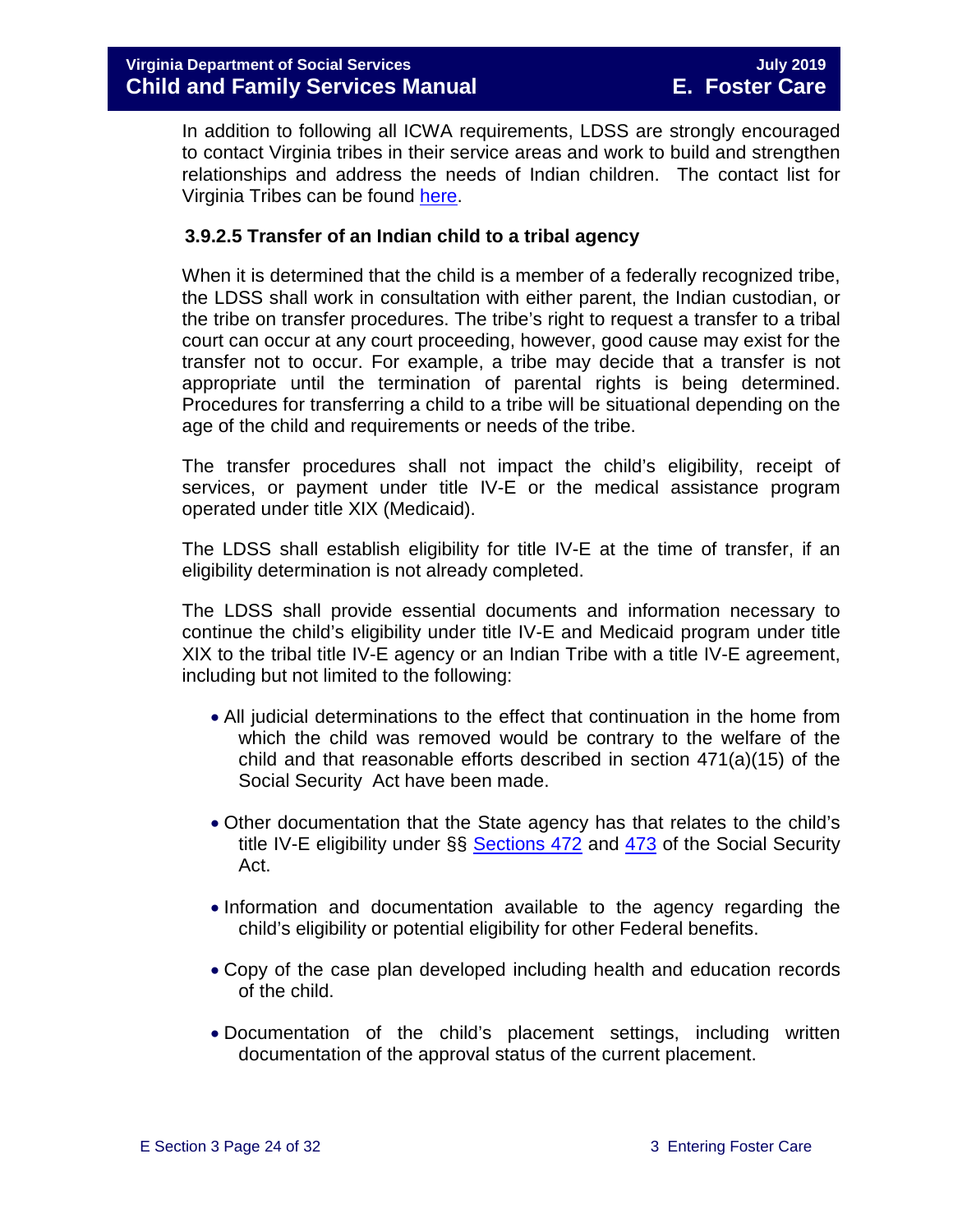In addition to following all ICWA requirements, LDSS are strongly encouraged to contact Virginia tribes in their service areas and work to build and strengthen relationships and address the needs of Indian children. The contact list for Virginia Tribes can be found [here.](https://www.commonwealth.virginia.gov/virginia-indians/state-recognized-tribes/)

#### **3.9.2.5 Transfer of an Indian child to a tribal agency**

When it is determined that the child is a member of a federally recognized tribe, the LDSS shall work in consultation with either parent, the Indian custodian, or the tribe on transfer procedures. The tribe's right to request a transfer to a tribal court can occur at any court proceeding, however, good cause may exist for the transfer not to occur. For example, a tribe may decide that a transfer is not appropriate until the termination of parental rights is being determined. Procedures for transferring a child to a tribe will be situational depending on the age of the child and requirements or needs of the tribe.

The transfer procedures shall not impact the child's eligibility, receipt of services, or payment under title IV-E or the medical assistance program operated under title XIX (Medicaid).

The LDSS shall establish eligibility for title IV-E at the time of transfer, if an eligibility determination is not already completed.

The LDSS shall provide essential documents and information necessary to continue the child's eligibility under title IV-E and Medicaid program under title XIX to the tribal title IV-E agency or an Indian Tribe with a title IV-E agreement, including but not limited to the following:

- All judicial determinations to the effect that continuation in the home from which the child was removed would be contrary to the welfare of the child and that reasonable efforts described in section 471(a)(15) of the Social Security Act have been made.
- Other documentation that the State agency has that relates to the child's title IV-E eligibility under  $\S$ § [Sections 472](http://www.ssa.gov/OP_Home/ssact/title04/0472.htm) and  $473$  of the Social Security Act.
- Information and documentation available to the agency regarding the child's eligibility or potential eligibility for other Federal benefits.
- Copy of the case plan developed including health and education records of the child.
- Documentation of the child's placement settings, including written documentation of the approval status of the current placement.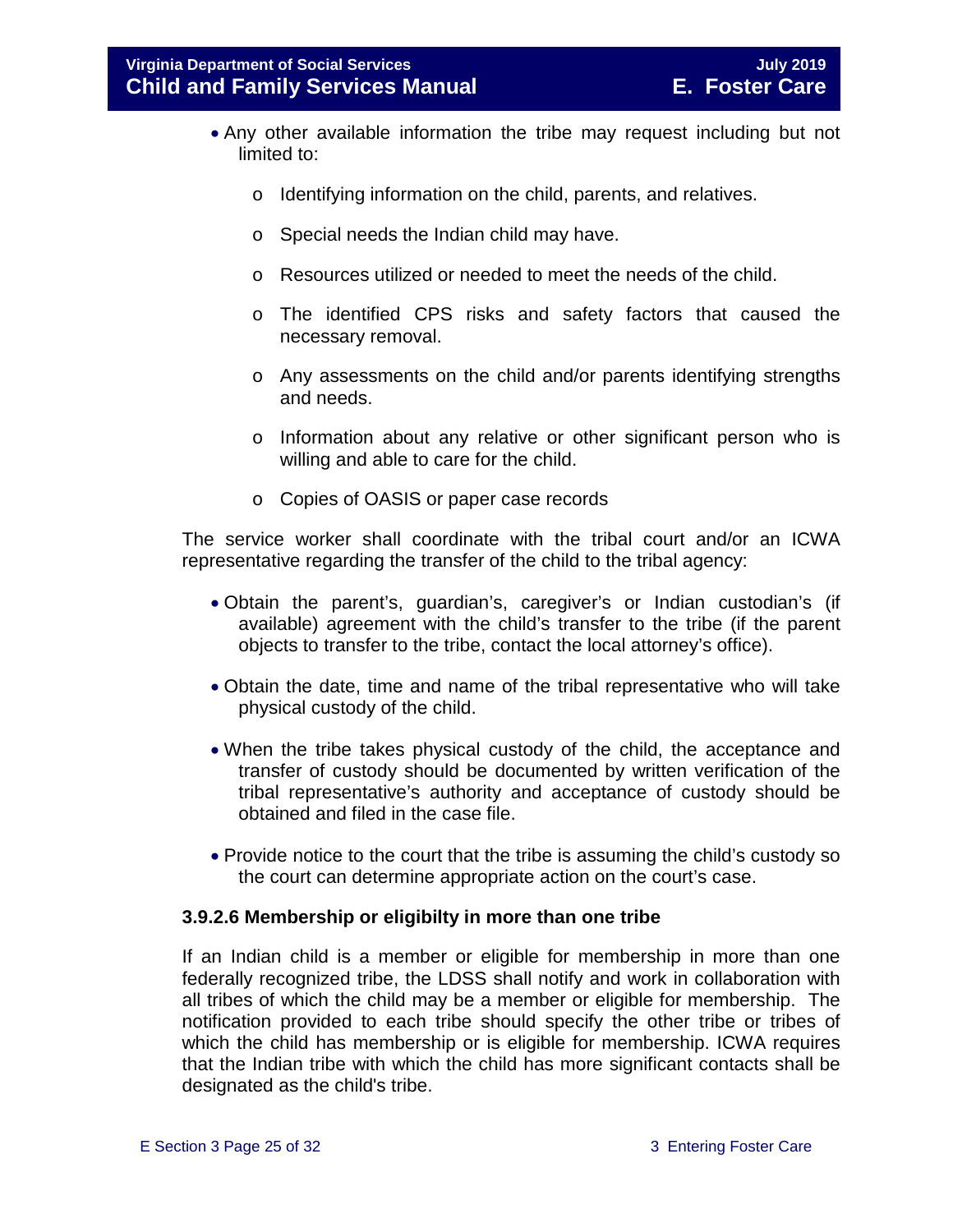- Any other available information the tribe may request including but not limited to:
	- o Identifying information on the child, parents, and relatives.
	- o Special needs the Indian child may have.
	- o Resources utilized or needed to meet the needs of the child.
	- o The identified CPS risks and safety factors that caused the necessary removal.
	- o Any assessments on the child and/or parents identifying strengths and needs.
	- o Information about any relative or other significant person who is willing and able to care for the child.
	- o Copies of OASIS or paper case records

The service worker shall coordinate with the tribal court and/or an ICWA representative regarding the transfer of the child to the tribal agency:

- Obtain the parent's, guardian's, caregiver's or Indian custodian's (if available) agreement with the child's transfer to the tribe (if the parent objects to transfer to the tribe, contact the local attorney's office).
- Obtain the date, time and name of the tribal representative who will take physical custody of the child.
- When the tribe takes physical custody of the child, the acceptance and transfer of custody should be documented by written verification of the tribal representative's authority and acceptance of custody should be obtained and filed in the case file.
- Provide notice to the court that the tribe is assuming the child's custody so the court can determine appropriate action on the court's case.

#### **3.9.2.6 Membership or eligibilty in more than one tribe**

If an Indian child is a member or eligible for membership in more than one federally recognized tribe, the LDSS shall notify and work in collaboration with all tribes of which the child may be a member or eligible for membership. The notification provided to each tribe should specify the other tribe or tribes of which the child has membership or is eligible for membership. ICWA requires that the Indian tribe with which the child has more significant contacts shall be designated as the child's tribe.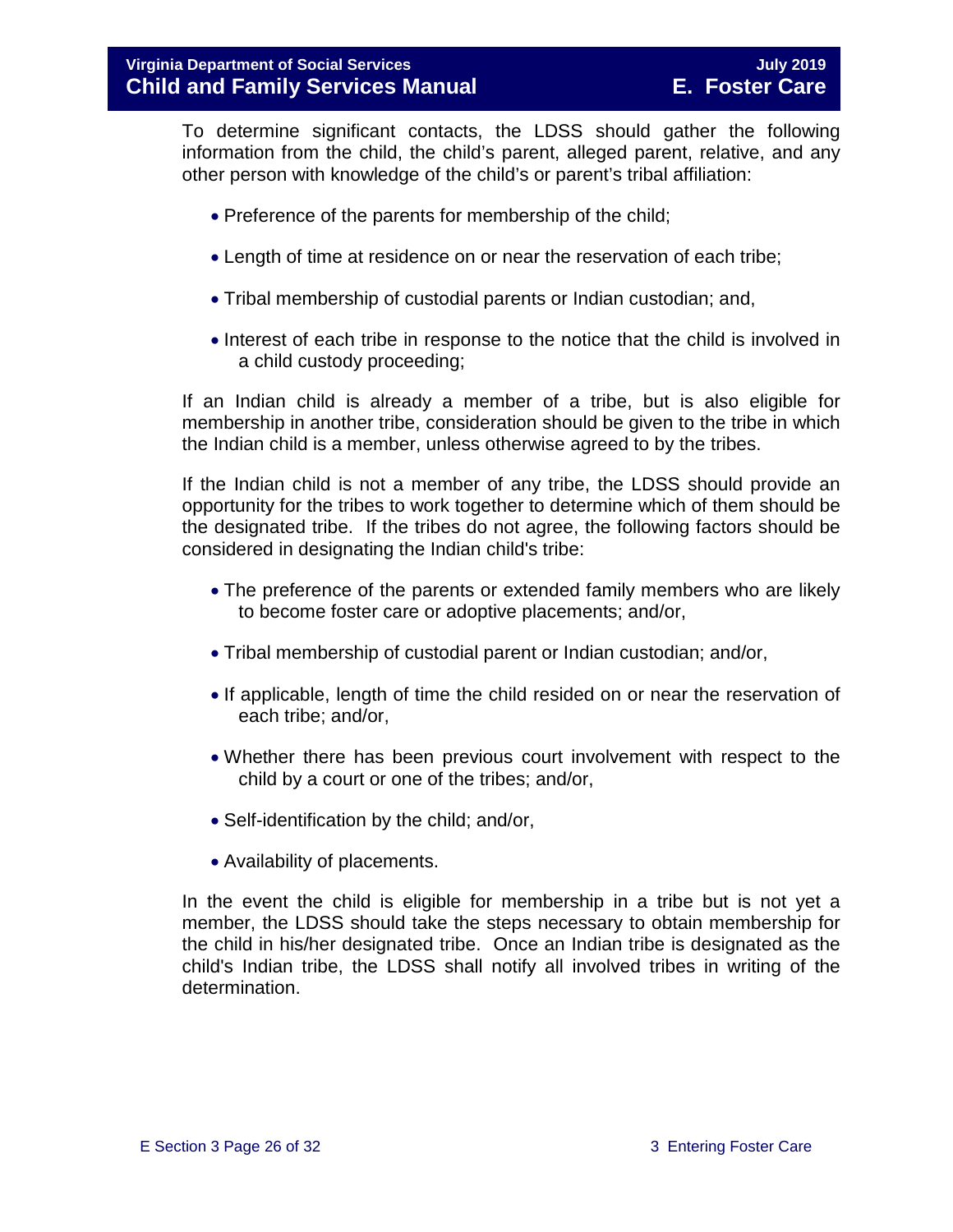To determine significant contacts, the LDSS should gather the following information from the child, the child's parent, alleged parent, relative, and any other person with knowledge of the child's or parent's tribal affiliation:

- Preference of the parents for membership of the child;
- Length of time at residence on or near the reservation of each tribe;
- Tribal membership of custodial parents or Indian custodian; and,
- Interest of each tribe in response to the notice that the child is involved in a child custody proceeding;

If an Indian child is already a member of a tribe, but is also eligible for membership in another tribe, consideration should be given to the tribe in which the Indian child is a member, unless otherwise agreed to by the tribes.

If the Indian child is not a member of any tribe, the LDSS should provide an opportunity for the tribes to work together to determine which of them should be the designated tribe. If the tribes do not agree, the following factors should be considered in designating the Indian child's tribe:

- The preference of the parents or extended family members who are likely to become foster care or adoptive placements; and/or,
- Tribal membership of custodial parent or Indian custodian; and/or,
- If applicable, length of time the child resided on or near the reservation of each tribe; and/or,
- Whether there has been previous court involvement with respect to the child by a court or one of the tribes; and/or,
- Self-identification by the child; and/or,
- Availability of placements.

In the event the child is eligible for membership in a tribe but is not yet a member, the LDSS should take the steps necessary to obtain membership for the child in his/her designated tribe. Once an Indian tribe is designated as the child's Indian tribe, the LDSS shall notify all involved tribes in writing of the determination.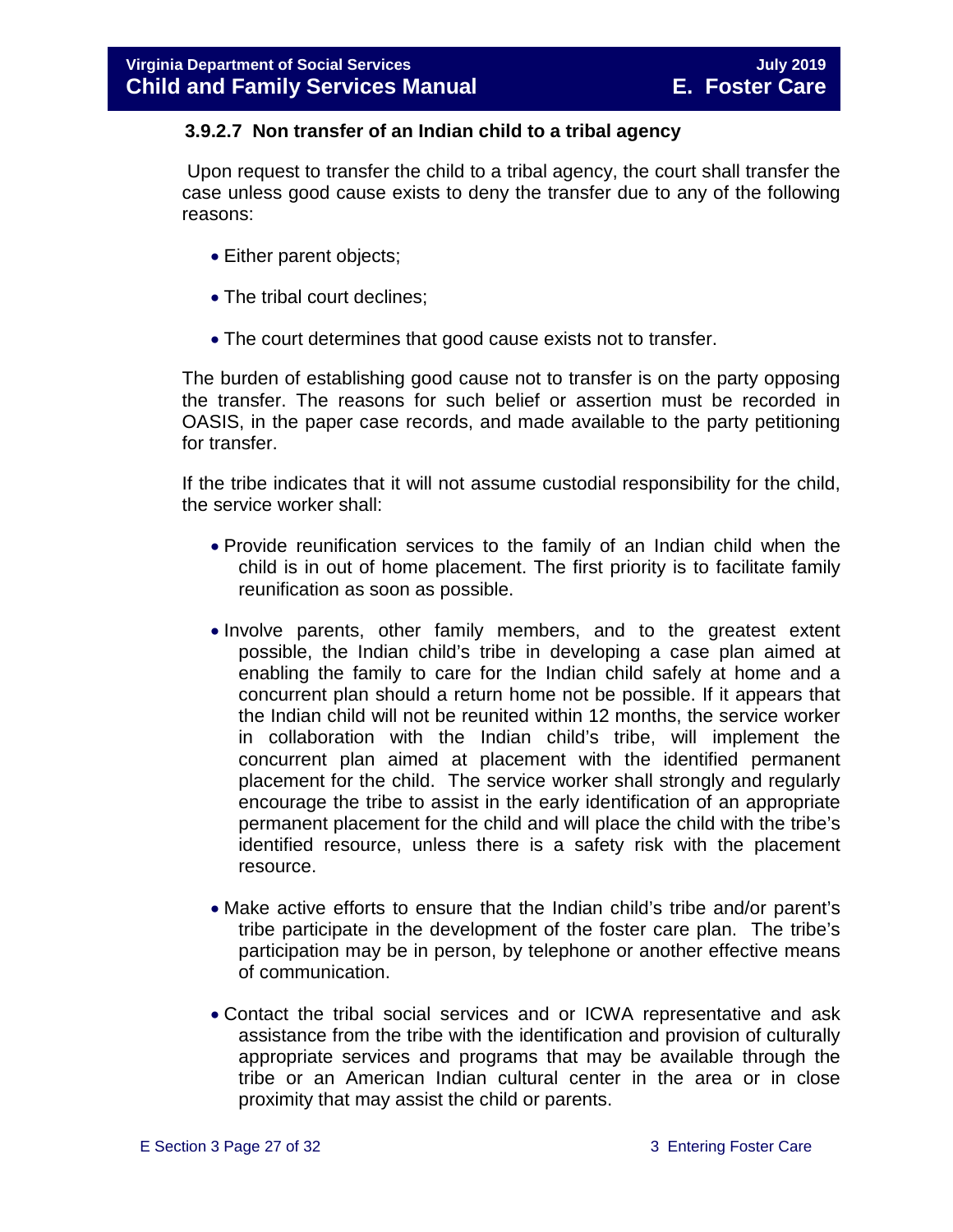#### **3.9.2.7 Non transfer of an Indian child to a tribal agency**

Upon request to transfer the child to a tribal agency, the court shall transfer the case unless good cause exists to deny the transfer due to any of the following reasons:

- Either parent objects;
- The tribal court declines;
- The court determines that good cause exists not to transfer.

The burden of establishing good cause not to transfer is on the party opposing the transfer. The reasons for such belief or assertion must be recorded in OASIS, in the paper case records, and made available to the party petitioning for transfer.

If the tribe indicates that it will not assume custodial responsibility for the child, the service worker shall:

- Provide reunification services to the family of an Indian child when the child is in out of home placement. The first priority is to facilitate family reunification as soon as possible.
- Involve parents, other family members, and to the greatest extent possible, the Indian child's tribe in developing a case plan aimed at enabling the family to care for the Indian child safely at home and a concurrent plan should a return home not be possible. If it appears that the Indian child will not be reunited within 12 months, the service worker in collaboration with the Indian child's tribe, will implement the concurrent plan aimed at placement with the identified permanent placement for the child. The service worker shall strongly and regularly encourage the tribe to assist in the early identification of an appropriate permanent placement for the child and will place the child with the tribe's identified resource, unless there is a safety risk with the placement resource.
- Make active efforts to ensure that the Indian child's tribe and/or parent's tribe participate in the development of the foster care plan. The tribe's participation may be in person, by telephone or another effective means of communication.
- Contact the tribal social services and or ICWA representative and ask assistance from the tribe with the identification and provision of culturally appropriate services and programs that may be available through the tribe or an American Indian cultural center in the area or in close proximity that may assist the child or parents.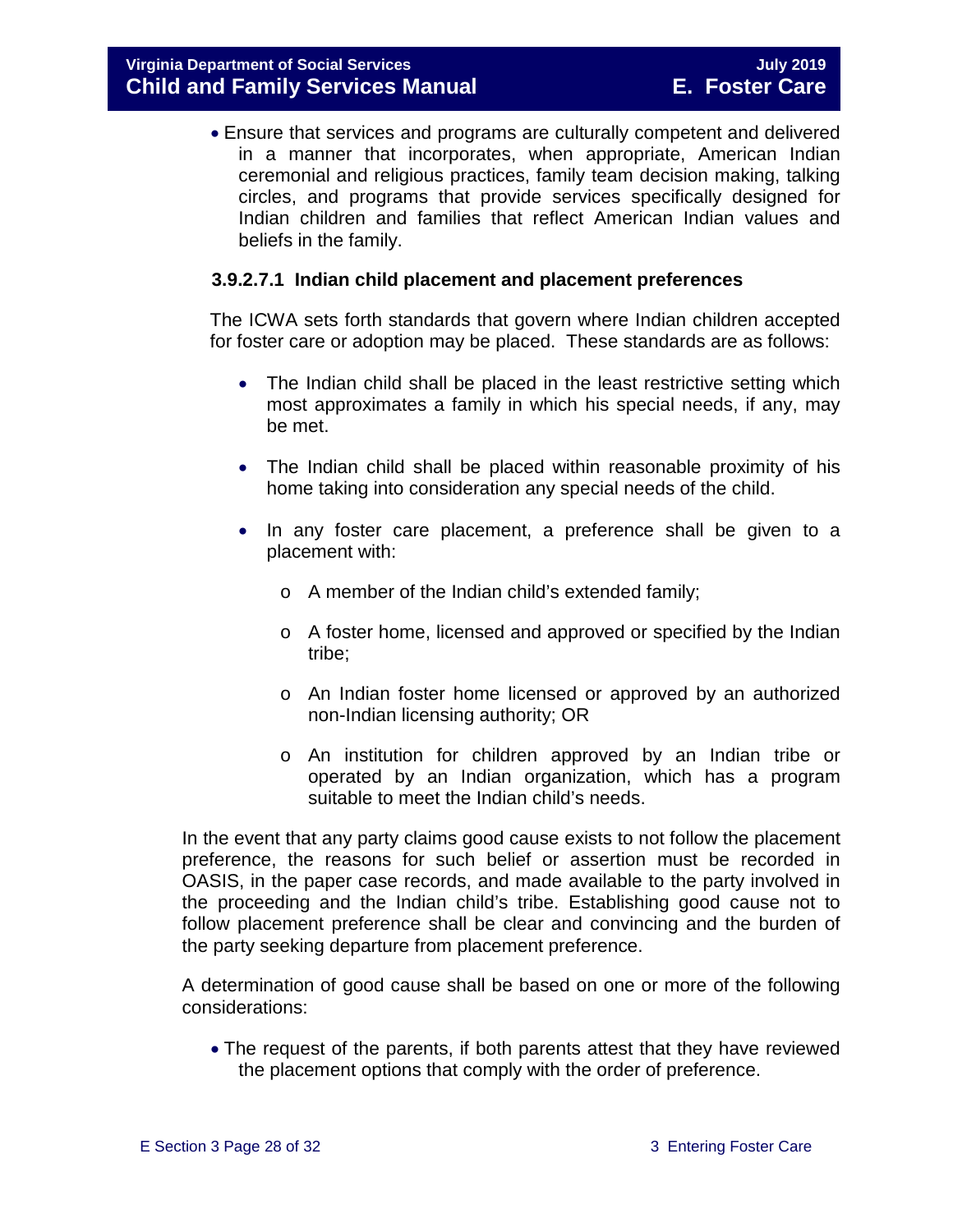• Ensure that services and programs are culturally competent and delivered in a manner that incorporates, when appropriate, American Indian ceremonial and religious practices, family team decision making, talking circles, and programs that provide services specifically designed for Indian children and families that reflect American Indian values and beliefs in the family.

#### <span id="page-27-0"></span>**3.9.2.7.1 Indian child placement and placement preferences**

The ICWA sets forth standards that govern where Indian children accepted for foster care or adoption may be placed. These standards are as follows:

- The Indian child shall be placed in the least restrictive setting which most approximates a family in which his special needs, if any, may be met.
- The Indian child shall be placed within reasonable proximity of his home taking into consideration any special needs of the child.
- In any foster care placement, a preference shall be given to a placement with:
	- o A member of the Indian child's extended family;
	- o A foster home, licensed and approved or specified by the Indian tribe;
	- o An Indian foster home licensed or approved by an authorized non-Indian licensing authority; OR
	- o An institution for children approved by an Indian tribe or operated by an Indian organization, which has a program suitable to meet the Indian child's needs.

In the event that any party claims good cause exists to not follow the placement preference, the reasons for such belief or assertion must be recorded in OASIS, in the paper case records, and made available to the party involved in the proceeding and the Indian child's tribe. Establishing good cause not to follow placement preference shall be clear and convincing and the burden of the party seeking departure from placement preference.

A determination of good cause shall be based on one or more of the following considerations:

• The request of the parents, if both parents attest that they have reviewed the placement options that comply with the order of preference.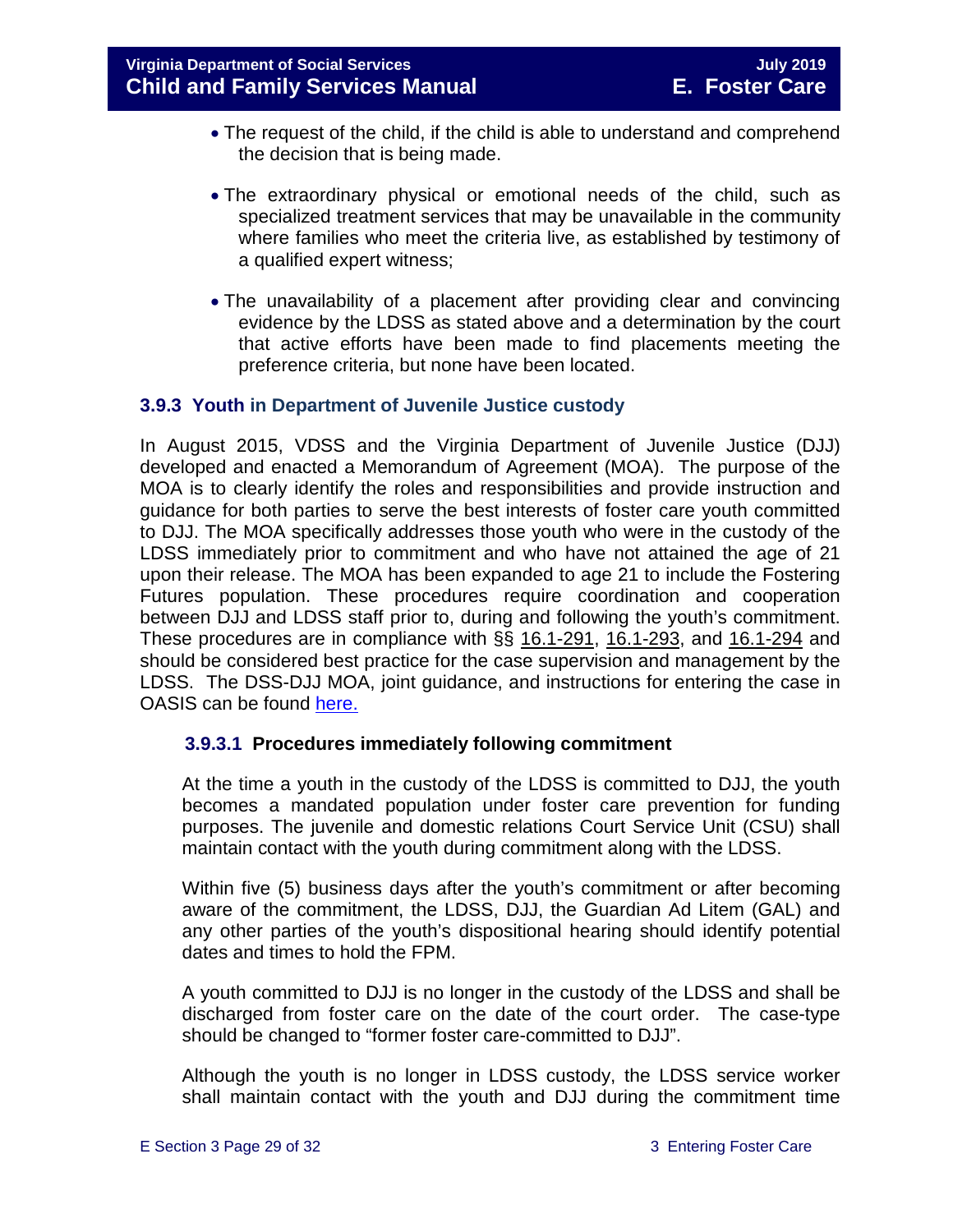- The request of the child, if the child is able to understand and comprehend the decision that is being made.
- The extraordinary physical or emotional needs of the child, such as specialized treatment services that may be unavailable in the community where families who meet the criteria live, as established by testimony of a qualified expert witness;
- The unavailability of a placement after providing clear and convincing evidence by the LDSS as stated above and a determination by the court that active efforts have been made to find placements meeting the preference criteria, but none have been located.

#### <span id="page-28-0"></span>**3.9.3 Youth in Department of Juvenile Justice custody**

In August 2015, VDSS and the Virginia Department of Juvenile Justice (DJJ) developed and enacted a Memorandum of Agreement (MOA). The purpose of the MOA is to clearly identify the roles and responsibilities and provide instruction and guidance for both parties to serve the best interests of foster care youth committed to DJJ. The MOA specifically addresses those youth who were in the custody of the LDSS immediately prior to commitment and who have not attained the age of 21 upon their release. The MOA has been expanded to age 21 to include the Fostering Futures population. These procedures require coordination and cooperation between DJJ and LDSS staff prior to, during and following the youth's commitment. These procedures are in compliance with §§ [16.1-291,](http://leg1.state.va.us/cgi-bin/legp504.exe?000+cod+16.1-291) [16.1-293,](http://leg1.state.va.us/cgi-bin/legp504.exe?000+cod+16.1-293) and [16.1-294](http://leg1.state.va.us/cgi-bin/legp504.exe?000+cod+16.1-294) and should be considered best practice for the case supervision and management by the LDSS. The DSS-DJJ MOA, joint guidance, and instructions for entering the case in OASIS can be found [here.](https://fusion.dss.virginia.gov/dfs/DFS-Home/Foster-Care/Juvenile-Justice)

#### **3.9.3.1 Procedures immediately following commitment**

At the time a youth in the custody of the LDSS is committed to DJJ, the youth becomes a mandated population under foster care prevention for funding purposes. The juvenile and domestic relations Court Service Unit (CSU) shall maintain contact with the youth during commitment along with the LDSS.

Within five (5) business days after the youth's commitment or after becoming aware of the commitment, the LDSS, DJJ, the Guardian Ad Litem (GAL) and any other parties of the youth's dispositional hearing should identify potential dates and times to hold the FPM.

A youth committed to DJJ is no longer in the custody of the LDSS and shall be discharged from foster care on the date of the court order. The case-type should be changed to "former foster care-committed to DJJ".

Although the youth is no longer in LDSS custody, the LDSS service worker shall maintain contact with the youth and DJJ during the commitment time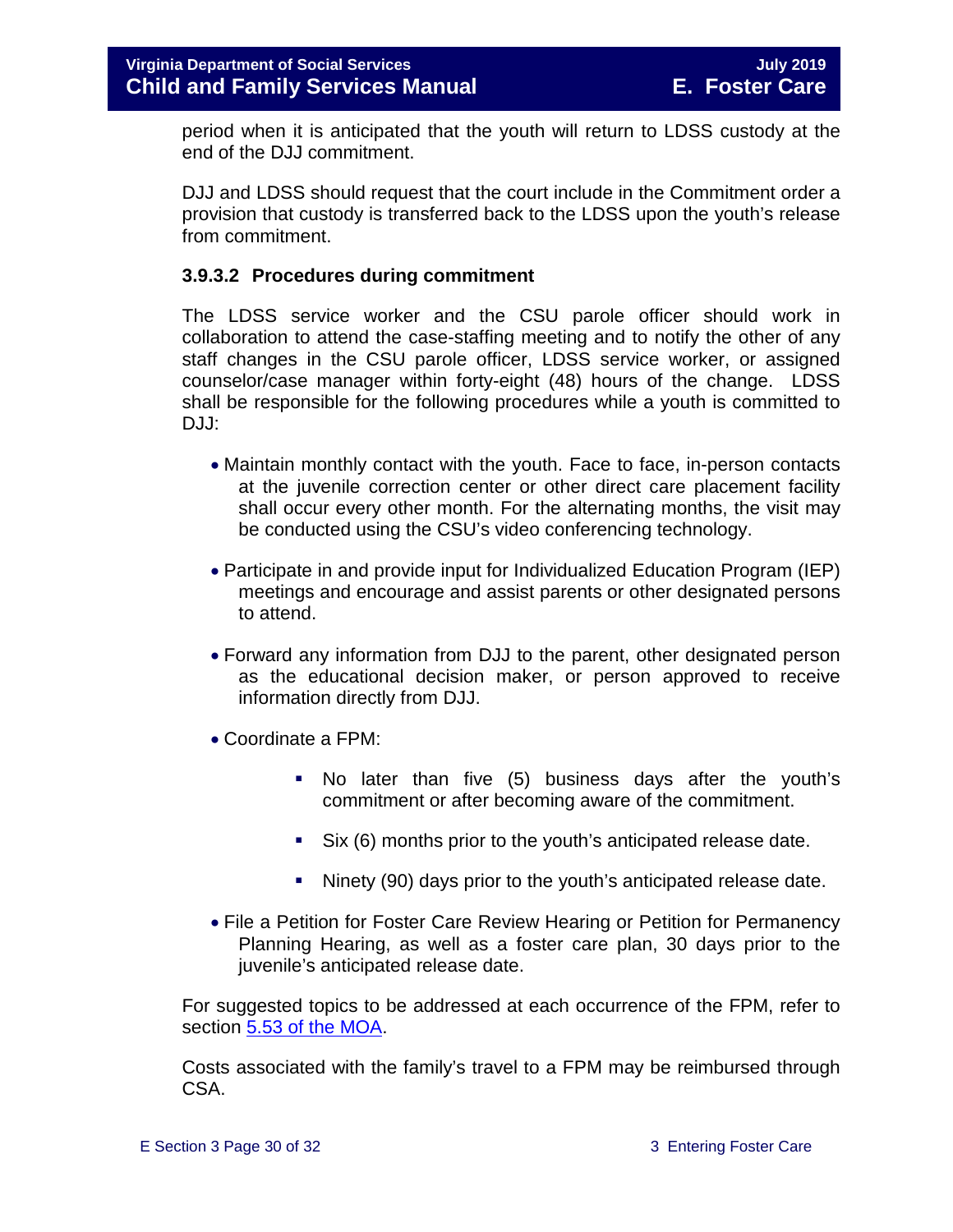period when it is anticipated that the youth will return to LDSS custody at the end of the DJJ commitment.

DJJ and LDSS should request that the court include in the Commitment order a provision that custody is transferred back to the LDSS upon the youth's release from commitment.

#### **3.9.3.2 Procedures during commitment**

The LDSS service worker and the CSU parole officer should work in collaboration to attend the case-staffing meeting and to notify the other of any staff changes in the CSU parole officer, LDSS service worker, or assigned counselor/case manager within forty-eight (48) hours of the change. LDSS shall be responsible for the following procedures while a youth is committed to DJJ:

- Maintain monthly contact with the youth. Face to face, in-person contacts at the juvenile correction center or other direct care placement facility shall occur every other month. For the alternating months, the visit may be conducted using the CSU's video conferencing technology.
- Participate in and provide input for Individualized Education Program (IEP) meetings and encourage and assist parents or other designated persons to attend.
- Forward any information from DJJ to the parent, other designated person as the educational decision maker, or person approved to receive information directly from DJJ.
- Coordinate a FPM:
	- No later than five (5) business days after the youth's commitment or after becoming aware of the commitment.
	- Six (6) months prior to the youth's anticipated release date.
	- Ninety (90) days prior to the youth's anticipated release date.
- File a Petition for Foster Care Review Hearing or Petition for Permanency Planning Hearing, as well as a foster care plan, 30 days prior to the juvenile's anticipated release date.

For suggested topics to be addressed at each occurrence of the FPM, refer to section [5.53 of the MOA.](https://fusion.dss.virginia.gov/Portals/%5Bdfs%5D/Files/Foster%20Care/Joint%20Guidance/Signed_MOA_for_VA_DSS__DJJ.PDF#page=9)

Costs associated with the family's travel to a FPM may be reimbursed through CSA.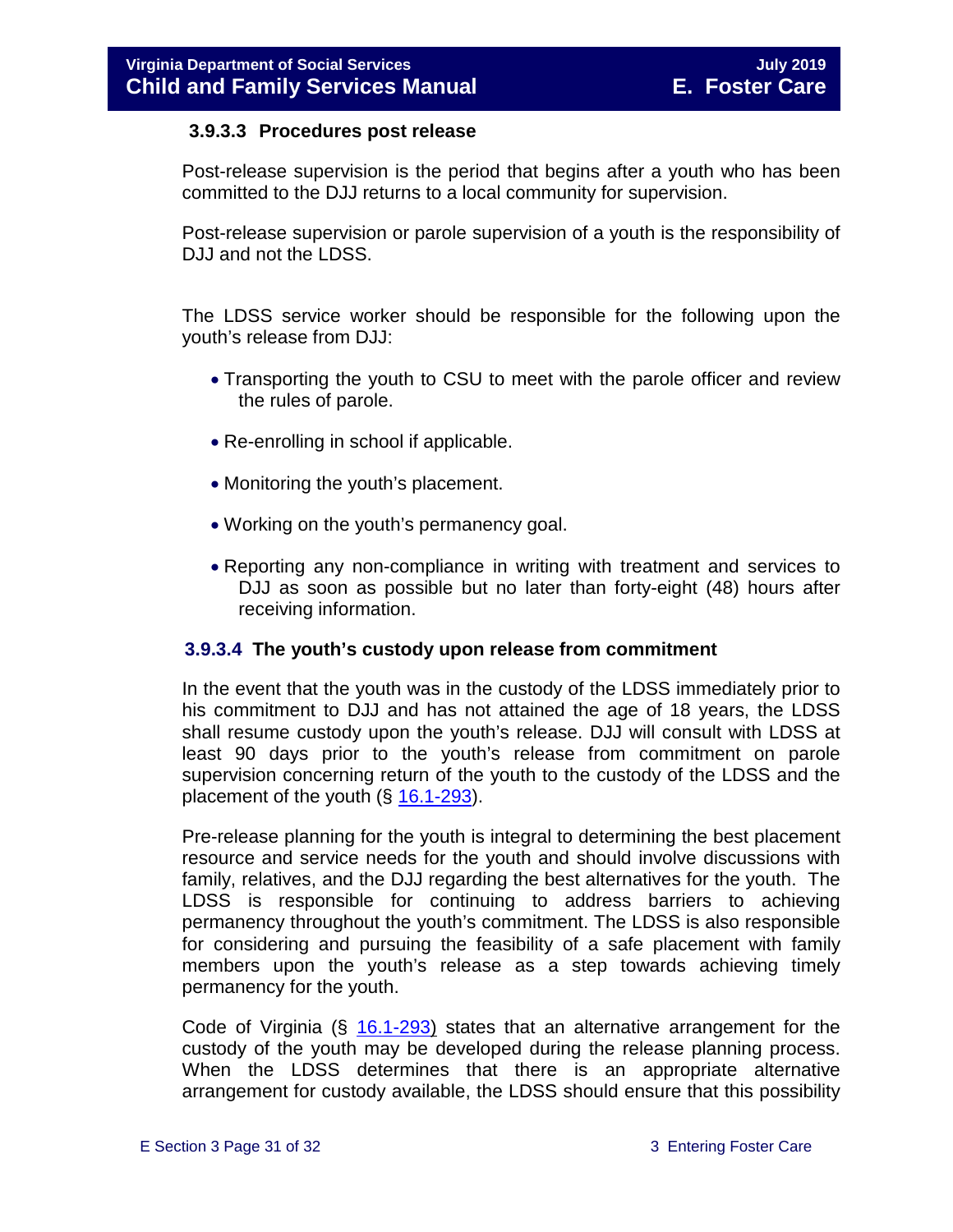#### **3.9.3.3 Procedures post release**

Post-release supervision is the period that begins after a youth who has been committed to the DJJ returns to a local community for supervision.

Post-release supervision or parole supervision of a youth is the responsibility of DJJ and not the LDSS.

The LDSS service worker should be responsible for the following upon the youth's release from DJJ:

- Transporting the youth to CSU to meet with the parole officer and review the rules of parole.
- Re-enrolling in school if applicable.
- Monitoring the youth's placement.
- Working on the youth's permanency goal.
- Reporting any non-compliance in writing with treatment and services to DJJ as soon as possible but no later than forty-eight (48) hours after receiving information.

#### **3.9.3.4 The youth's custody upon release from commitment**

In the event that the youth was in the custody of the LDSS immediately prior to his commitment to DJJ and has not attained the age of 18 years, the LDSS shall resume custody upon the youth's release. DJJ will consult with LDSS at least 90 days prior to the youth's release from commitment on parole supervision concerning return of the youth to the custody of the LDSS and the placement of the youth  $(\S 16.1-293)$  $(\S 16.1-293)$ .

Pre-release planning for the youth is integral to determining the best placement resource and service needs for the youth and should involve discussions with family, relatives, and the DJJ regarding the best alternatives for the youth. The LDSS is responsible for continuing to address barriers to achieving permanency throughout the youth's commitment. The LDSS is also responsible for considering and pursuing the feasibility of a safe placement with family members upon the youth's release as a step towards achieving timely permanency for the youth.

Code of Virginia (§ [16.1-293\)](http://law.lis.virginia.gov/vacode/16.1-293/) states that an alternative arrangement for the custody of the youth may be developed during the release planning process. When the LDSS determines that there is an appropriate alternative arrangement for custody available, the LDSS should ensure that this possibility